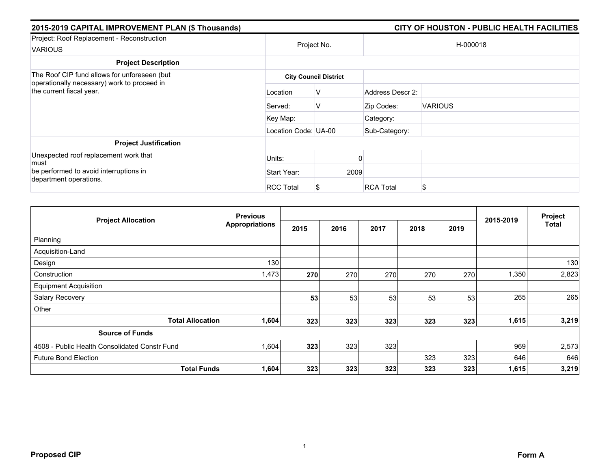| 2015-2019 CAPITAL IMPROVEMENT PLAN (\$ Thousands)                                                                        |                      |                              |                  | CITY OF HOUSTON - PUBLIC HEALTH FACILITIES |  |  |
|--------------------------------------------------------------------------------------------------------------------------|----------------------|------------------------------|------------------|--------------------------------------------|--|--|
| Project: Roof Replacement - Reconstruction<br><b>VARIOUS</b>                                                             | Project No.          |                              | H-000018         |                                            |  |  |
| <b>Project Description</b>                                                                                               |                      |                              |                  |                                            |  |  |
| The Roof CIP fund allows for unforeseen (but)<br>operationally necessary) work to proceed in<br>the current fiscal year. |                      | <b>City Council District</b> |                  |                                            |  |  |
|                                                                                                                          | Location             | v                            | Address Descr 2: |                                            |  |  |
|                                                                                                                          | Served:              | v                            | Zip Codes:       | <b>VARIOUS</b>                             |  |  |
|                                                                                                                          | Key Map:             |                              | Category:        |                                            |  |  |
|                                                                                                                          | Location Code: UA-00 |                              | Sub-Category:    |                                            |  |  |
| <b>Project Justification</b>                                                                                             |                      |                              |                  |                                            |  |  |
| Unexpected roof replacement work that<br>must                                                                            | Units:               |                              |                  |                                            |  |  |
| be performed to avoid interruptions in                                                                                   | Start Year:          | 2009                         |                  |                                            |  |  |
| department operations.                                                                                                   | <b>RCC Total</b>     |                              | <b>RCA Total</b> | \$                                         |  |  |

|                                               | <b>Previous</b>       |      |      |      |      |      | 2015-2019 | Project      |
|-----------------------------------------------|-----------------------|------|------|------|------|------|-----------|--------------|
| <b>Project Allocation</b>                     | <b>Appropriations</b> | 2015 | 2016 | 2017 | 2018 | 2019 |           | <b>Total</b> |
| Planning                                      |                       |      |      |      |      |      |           |              |
| Acquisition-Land                              |                       |      |      |      |      |      |           |              |
| Design                                        | 130                   |      |      |      |      |      |           | 130          |
| Construction                                  | 1,473                 | 270  | 270  | 270  | 270  | 270  | 1,350     | 2,823        |
| <b>Equipment Acquisition</b>                  |                       |      |      |      |      |      |           |              |
| Salary Recovery                               |                       | 53   | 53   | 53   | 53   | 53   | 265       | 265          |
| Other                                         |                       |      |      |      |      |      |           |              |
| <b>Total Allocation</b>                       | 1,604                 | 323  | 323  | 323  | 323  | 323  | 1,615     | 3,219        |
| <b>Source of Funds</b>                        |                       |      |      |      |      |      |           |              |
| 4508 - Public Health Consolidated Constr Fund | 1,604                 | 323  | 323  | 323  |      |      | 969       | 2,573        |
| <b>Future Bond Election</b>                   |                       |      |      |      | 323  | 323  | 646       | 646          |
| <b>Total Funds</b>                            | 1,604                 | 323  | 323  | 323  | 323  | 323  | 1,615     | 3,219        |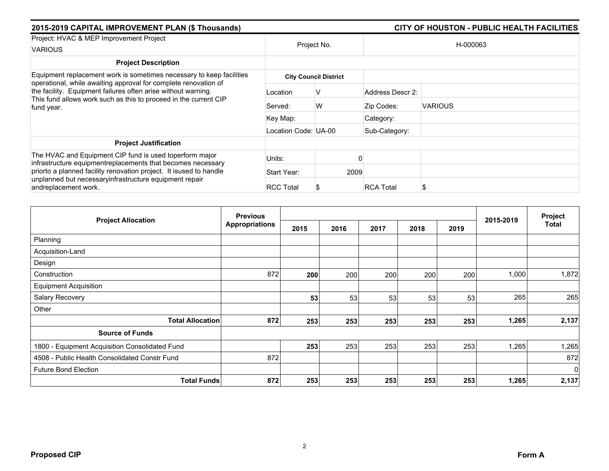| 2015-2019 CAPITAL IMPROVEMENT PLAN (\$ Thousands)                                                                                               |                      |                              | CITY OF HOUSTON - PUBLIC HEALTH FACILITIES |                |  |  |  |
|-------------------------------------------------------------------------------------------------------------------------------------------------|----------------------|------------------------------|--------------------------------------------|----------------|--|--|--|
| Project: HVAC & MEP Improvement Project<br><b>VARIOUS</b>                                                                                       | Project No.          |                              |                                            | H-000063       |  |  |  |
| <b>Project Description</b>                                                                                                                      |                      |                              |                                            |                |  |  |  |
| Equipment replacement work is sometimes necessary to keep facilities<br>operational, while awaiting approval for complete renovation of         |                      | <b>City Council District</b> |                                            |                |  |  |  |
| the facility. Equipment failures often arise without warning.<br>This fund allows work such as this to proceed in the current CIP<br>fund year. | Location             | ν                            | Address Descr 2:                           |                |  |  |  |
|                                                                                                                                                 | Served:              | W                            | Zip Codes:                                 | <b>VARIOUS</b> |  |  |  |
|                                                                                                                                                 | Key Map:             |                              | Category:                                  |                |  |  |  |
|                                                                                                                                                 | Location Code: UA-00 |                              | Sub-Category:                              |                |  |  |  |
| <b>Project Justification</b>                                                                                                                    |                      |                              |                                            |                |  |  |  |
| The HVAC and Equipment CIP fund is used toperform major<br>infrastructure equipmentreplacements that becomes necessary                          | Units:               |                              |                                            |                |  |  |  |
| priorto a planned facility renovation project. It isused to handle                                                                              | Start Year:          | 2009                         |                                            |                |  |  |  |
| unplanned but necessaryinfrastructure equipment repair<br>andreplacement work.                                                                  | <b>RCC Total</b>     |                              | <b>RCA Total</b>                           | \$             |  |  |  |

|                                                | <b>Previous</b>       |      |      |      | 2015-2019 | Project |       |              |
|------------------------------------------------|-----------------------|------|------|------|-----------|---------|-------|--------------|
| <b>Project Allocation</b>                      | <b>Appropriations</b> | 2015 | 2016 | 2017 | 2018      | 2019    |       | <b>Total</b> |
| Planning                                       |                       |      |      |      |           |         |       |              |
| Acquisition-Land                               |                       |      |      |      |           |         |       |              |
| Design                                         |                       |      |      |      |           |         |       |              |
| Construction                                   | 872                   | 200  | 200  | 200  | 200       | 200     | 1,000 | 1,872        |
| <b>Equipment Acquisition</b>                   |                       |      |      |      |           |         |       |              |
| Salary Recovery                                |                       | 53   | 53   | 53   | 53        | 53      | 265   | 265          |
| Other                                          |                       |      |      |      |           |         |       |              |
| <b>Total Allocation</b>                        | 872                   | 253  | 253  | 253  | 253       | 253     | 1,265 | 2,137        |
| <b>Source of Funds</b>                         |                       |      |      |      |           |         |       |              |
| 1800 - Equipment Acquisition Consolidated Fund |                       | 253  | 253  | 253  | 253       | 253     | 1,265 | 1,265        |
| 4508 - Public Health Consolidated Constr Fund  | 872                   |      |      |      |           |         |       | 872          |
| <b>Future Bond Election</b>                    |                       |      |      |      |           |         |       | $\mathbf 0$  |
| <b>Total Funds</b>                             | 872                   | 253  | 253  | 253  | 253       | 253     | 1,265 | 2,137        |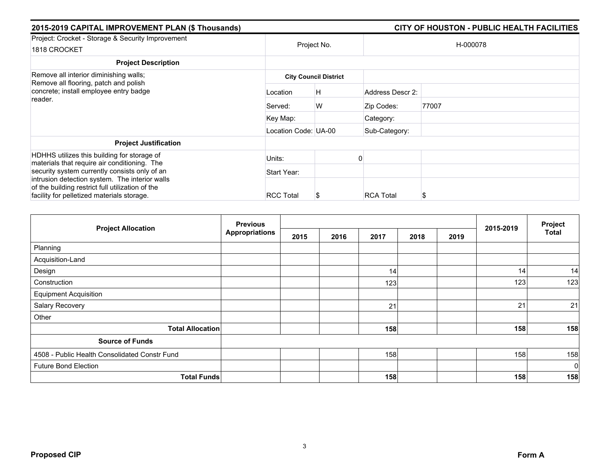| 2015-2019 CAPITAL IMPROVEMENT PLAN (\$ Thousands)                                                                                                |                      |                              |                  | CITY OF HOUSTON - PUBLIC HEALTH FACILITIES |
|--------------------------------------------------------------------------------------------------------------------------------------------------|----------------------|------------------------------|------------------|--------------------------------------------|
| Project: Crocket - Storage & Security Improvement<br>1818 CROCKET                                                                                |                      | Project No.                  |                  | H-000078                                   |
| <b>Project Description</b>                                                                                                                       |                      |                              |                  |                                            |
| Remove all interior diminishing walls;<br>Remove all flooring, patch and polish<br>concrete; install employee entry badge<br>reader.             |                      | <b>City Council District</b> |                  |                                            |
|                                                                                                                                                  | Location             | H                            | Address Descr 2: |                                            |
|                                                                                                                                                  | Served:              | W                            | Zip Codes:       | 77007                                      |
|                                                                                                                                                  | Key Map:             |                              | Category:        |                                            |
|                                                                                                                                                  | Location Code: UA-00 |                              | Sub-Category:    |                                            |
| <b>Project Justification</b>                                                                                                                     |                      |                              |                  |                                            |
| HDHHS utilizes this building for storage of<br>materials that require air conditioning. The                                                      | Units:               |                              |                  |                                            |
| security system currently consists only of an                                                                                                    | Start Year:          |                              |                  |                                            |
| intrusion detection system. The interior walls<br>of the building restrict full utilization of the<br>facility for pelletized materials storage. | <b>RCC Total</b>     | Ъ                            | <b>RCA Total</b> | S                                          |

| <b>Project Allocation</b>                     | <b>Previous</b>       |      |      |      |      | 2015-2019 | Project |              |
|-----------------------------------------------|-----------------------|------|------|------|------|-----------|---------|--------------|
|                                               | <b>Appropriations</b> | 2015 | 2016 | 2017 | 2018 | 2019      |         | <b>Total</b> |
| Planning                                      |                       |      |      |      |      |           |         |              |
| Acquisition-Land                              |                       |      |      |      |      |           |         |              |
| Design                                        |                       |      |      | 14   |      |           | 14      | 14           |
| Construction                                  |                       |      |      | 123  |      |           | 123     | 123          |
| <b>Equipment Acquisition</b>                  |                       |      |      |      |      |           |         |              |
| Salary Recovery                               |                       |      |      | 21   |      |           | 21      | 21           |
| Other                                         |                       |      |      |      |      |           |         |              |
| <b>Total Allocation</b>                       |                       |      |      | 158  |      |           | 158     | 158          |
| <b>Source of Funds</b>                        |                       |      |      |      |      |           |         |              |
| 4508 - Public Health Consolidated Constr Fund |                       |      |      | 158  |      |           | 158     | 158          |
| <b>Future Bond Election</b>                   |                       |      |      |      |      |           |         | $\mathbf 0$  |
| <b>Total Funds</b>                            |                       |      |      | 158  |      |           | 158     | 158          |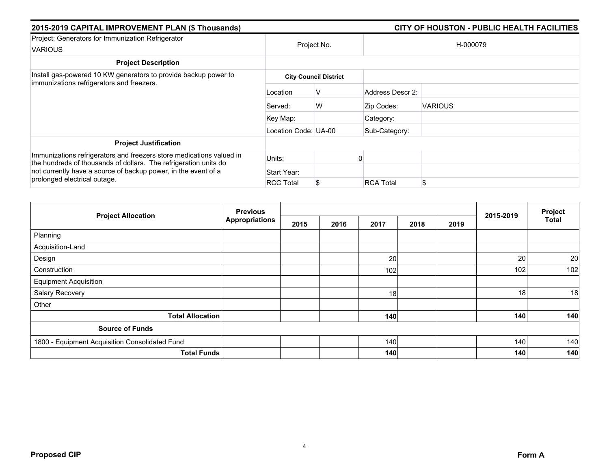| 2015-2019 CAPITAL IMPROVEMENT PLAN (\$ Thousands)                                                                                                                                                          |                      |                              |                  | CITY OF HOUSTON - PUBLIC HEALTH FACILITIES |
|------------------------------------------------------------------------------------------------------------------------------------------------------------------------------------------------------------|----------------------|------------------------------|------------------|--------------------------------------------|
| Project: Generators for Immunization Refrigerator<br><b>VARIOUS</b>                                                                                                                                        | Project No.          |                              |                  | H-000079                                   |
| <b>Project Description</b>                                                                                                                                                                                 |                      |                              |                  |                                            |
| Install gas-powered 10 KW generators to provide backup power to                                                                                                                                            |                      | <b>City Council District</b> |                  |                                            |
| immunizations refrigerators and freezers.                                                                                                                                                                  | Location             | V                            | Address Descr 2: |                                            |
|                                                                                                                                                                                                            | Served:              | W                            | Zip Codes:       | <b>VARIOUS</b>                             |
|                                                                                                                                                                                                            | Key Map:             |                              | Category:        |                                            |
|                                                                                                                                                                                                            | Location Code: UA-00 |                              | Sub-Category:    |                                            |
| <b>Project Justification</b>                                                                                                                                                                               |                      |                              |                  |                                            |
| Immunizations refrigerators and freezers store medications valued in<br>the hundreds of thousands of dollars. The refrigeration units do<br>not currently have a source of backup power, in the event of a | Units:               |                              |                  |                                            |
|                                                                                                                                                                                                            | Start Year:          |                              |                  |                                            |
| prolonged electrical outage.                                                                                                                                                                               | <b>RCC Total</b>     | \$                           | <b>RCA Total</b> | \$.                                        |

| <b>Project Allocation</b>                      | <b>Previous</b>       |      |      |      | 2015-2019 | Project |     |              |
|------------------------------------------------|-----------------------|------|------|------|-----------|---------|-----|--------------|
|                                                | <b>Appropriations</b> | 2015 | 2016 | 2017 | 2018      | 2019    |     | <b>Total</b> |
| Planning                                       |                       |      |      |      |           |         |     |              |
| Acquisition-Land                               |                       |      |      |      |           |         |     |              |
| Design                                         |                       |      |      | 20   |           |         | 20  | 20           |
| Construction                                   |                       |      |      | 102  |           |         | 102 | 102          |
| <b>Equipment Acquisition</b>                   |                       |      |      |      |           |         |     |              |
| Salary Recovery                                |                       |      |      | 18   |           |         | 18  | 18           |
| Other                                          |                       |      |      |      |           |         |     |              |
| <b>Total Allocation</b>                        |                       |      |      | 140  |           |         | 140 | 140          |
| <b>Source of Funds</b>                         |                       |      |      |      |           |         |     |              |
| 1800 - Equipment Acquisition Consolidated Fund |                       |      |      | 140  |           |         | 140 | 140          |
|                                                | <b>Total Funds</b>    |      |      | 140  |           |         | 140 | 140          |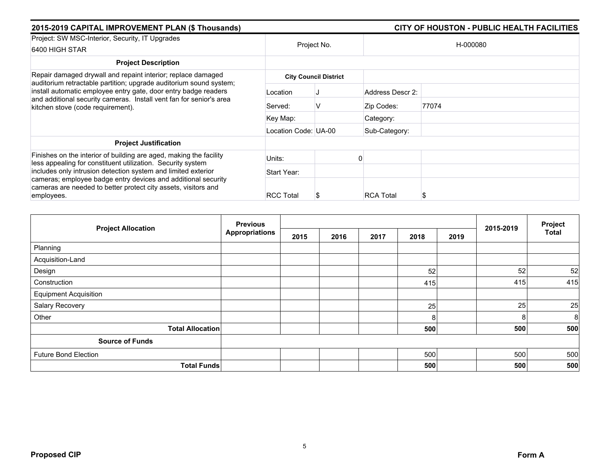| 2015-2019 CAPITAL IMPROVEMENT PLAN (\$ Thousands)                                                                                                                                                                                                 |                      |                              |                  | CITY OF HOUSTON - PUBLIC HEALTH FACILITIES |  |  |
|---------------------------------------------------------------------------------------------------------------------------------------------------------------------------------------------------------------------------------------------------|----------------------|------------------------------|------------------|--------------------------------------------|--|--|
| Project: SW MSC-Interior, Security, IT Upgrades                                                                                                                                                                                                   |                      |                              |                  |                                            |  |  |
| 6400 HIGH STAR                                                                                                                                                                                                                                    | Project No.          |                              | H-000080         |                                            |  |  |
| <b>Project Description</b>                                                                                                                                                                                                                        |                      |                              |                  |                                            |  |  |
| Repair damaged drywall and repaint interior; replace damaged                                                                                                                                                                                      |                      | <b>City Council District</b> |                  |                                            |  |  |
| auditorium retractable partition; upgrade auditorium sound system;<br>install automatic employee entry gate, door entry badge readers<br>and additional security cameras. Install vent fan for senior's area<br>kitchen stove (code requirement). | Location             |                              | Address Descr 2: |                                            |  |  |
|                                                                                                                                                                                                                                                   | Served:              | V                            | Zip Codes:       | 77074                                      |  |  |
|                                                                                                                                                                                                                                                   | Key Map:             |                              | Category:        |                                            |  |  |
|                                                                                                                                                                                                                                                   | Location Code: UA-00 |                              | Sub-Category:    |                                            |  |  |
| <b>Project Justification</b>                                                                                                                                                                                                                      |                      |                              |                  |                                            |  |  |
| Finishes on the interior of building are aged, making the facility<br>less appealing for constituent utilization. Security system                                                                                                                 | Units:               |                              |                  |                                            |  |  |
| includes only intrusion detection system and limited exterior                                                                                                                                                                                     | Start Year:          |                              |                  |                                            |  |  |
| cameras; employee badge entry devices and additional security<br>cameras are needed to better protect city assets, visitors and                                                                                                                   |                      |                              |                  |                                            |  |  |
| employees.                                                                                                                                                                                                                                        | <b>RCC Total</b>     | S                            | <b>RCA Total</b> |                                            |  |  |

| <b>Project Allocation</b>    | <b>Previous</b>       |      |      |      |      |      |           |              |  |
|------------------------------|-----------------------|------|------|------|------|------|-----------|--------------|--|
|                              | <b>Appropriations</b> | 2015 | 2016 | 2017 | 2018 | 2019 | 2015-2019 | <b>Total</b> |  |
| Planning                     |                       |      |      |      |      |      |           |              |  |
| Acquisition-Land             |                       |      |      |      |      |      |           |              |  |
| Design                       |                       |      |      |      | 52   |      | 52        | 52           |  |
| Construction                 |                       |      |      |      | 415  |      | 415       | 415          |  |
| <b>Equipment Acquisition</b> |                       |      |      |      |      |      |           |              |  |
| Salary Recovery              |                       |      |      |      | 25   |      | 25        | 25           |  |
| Other                        |                       |      |      |      | 8    |      | 8         | 8            |  |
| <b>Total Allocation</b>      |                       |      |      |      | 500  |      | 500       | 500          |  |
| <b>Source of Funds</b>       |                       |      |      |      |      |      |           |              |  |
| <b>Future Bond Election</b>  |                       |      |      |      | 500  |      | 500       | 500          |  |
| <b>Total Funds</b>           |                       |      |      |      | 500  |      | 500       | 500          |  |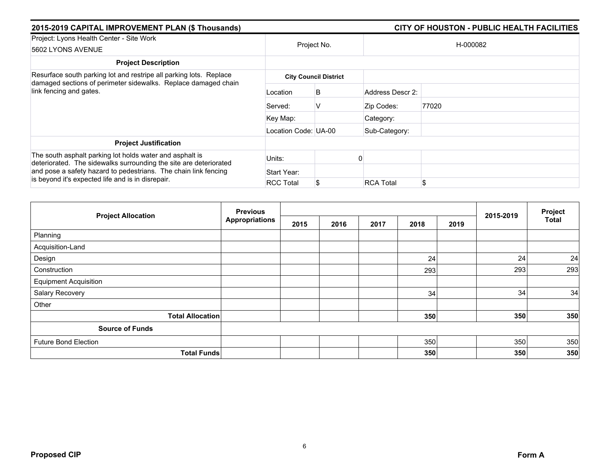| 2015-2019 CAPITAL IMPROVEMENT PLAN (\$ Thousands)                                                                                                                                                |                      | CITY OF HOUSTON - PUBLIC HEALTH FACILITIES |                  |          |  |  |
|--------------------------------------------------------------------------------------------------------------------------------------------------------------------------------------------------|----------------------|--------------------------------------------|------------------|----------|--|--|
| Project: Lyons Health Center - Site Work<br>5602 LYONS AVENUE                                                                                                                                    |                      | Project No.                                |                  | H-000082 |  |  |
| <b>Project Description</b>                                                                                                                                                                       |                      |                                            |                  |          |  |  |
| Resurface south parking lot and restripe all parking lots. Replace                                                                                                                               |                      | <b>City Council District</b>               |                  |          |  |  |
| damaged sections of perimeter sidewalks. Replace damaged chain<br>link fencing and gates.                                                                                                        | Location             | B                                          | Address Descr 2: |          |  |  |
|                                                                                                                                                                                                  | Served:              | V                                          | Zip Codes:       | 77020    |  |  |
|                                                                                                                                                                                                  | Key Map:             |                                            | Category:        |          |  |  |
|                                                                                                                                                                                                  | Location Code: UA-00 |                                            | Sub-Category:    |          |  |  |
| <b>Project Justification</b>                                                                                                                                                                     |                      |                                            |                  |          |  |  |
| The south asphalt parking lot holds water and asphalt is<br>deteriorated. The sidewalks surrounding the site are deteriorated<br>and pose a safety hazard to pedestrians. The chain link fencing | Units:               |                                            |                  |          |  |  |
|                                                                                                                                                                                                  | Start Year:          |                                            |                  |          |  |  |
| is beyond it's expected life and is in disrepair.                                                                                                                                                | <b>RCC Total</b>     | S.                                         | <b>RCA Total</b> | \$       |  |  |

|                              | <b>Previous</b>       |      |      |      |      | 2015-2019 |     | Project |
|------------------------------|-----------------------|------|------|------|------|-----------|-----|---------|
| <b>Project Allocation</b>    | <b>Appropriations</b> | 2015 | 2016 | 2017 | 2018 | 2019      |     | Total   |
| Planning                     |                       |      |      |      |      |           |     |         |
| Acquisition-Land             |                       |      |      |      |      |           |     |         |
| Design                       |                       |      |      |      | 24   |           | 24  | 24      |
| Construction                 |                       |      |      |      | 293  |           | 293 | 293     |
| <b>Equipment Acquisition</b> |                       |      |      |      |      |           |     |         |
| Salary Recovery              |                       |      |      |      | 34   |           | 34  | 34      |
| Other                        |                       |      |      |      |      |           |     |         |
| <b>Total Allocation</b>      |                       |      |      |      | 350  |           | 350 | 350     |
| <b>Source of Funds</b>       |                       |      |      |      |      |           |     |         |
| <b>Future Bond Election</b>  |                       |      |      |      | 350  |           | 350 | 350     |
| <b>Total Funds</b>           |                       |      |      |      | 350  |           | 350 | 350     |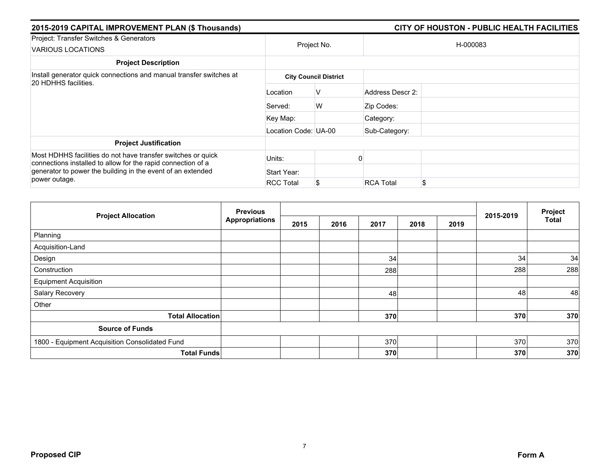| 2015-2019 CAPITAL IMPROVEMENT PLAN (\$ Thousands)                                                                            |                      | CITY OF HOUSTON - PUBLIC HEALTH FACILITIES |                  |          |  |  |
|------------------------------------------------------------------------------------------------------------------------------|----------------------|--------------------------------------------|------------------|----------|--|--|
| Project: Transfer Switches & Generators<br>VARIOUS LOCATIONS                                                                 |                      | Project No.                                |                  | H-000083 |  |  |
| <b>Project Description</b>                                                                                                   |                      |                                            |                  |          |  |  |
| Install generator quick connections and manual transfer switches at<br>20 HDHHS facilities.                                  |                      | <b>City Council District</b>               |                  |          |  |  |
|                                                                                                                              | Location             | v                                          | Address Descr 2: |          |  |  |
|                                                                                                                              | Served:              | W                                          | Zip Codes:       |          |  |  |
|                                                                                                                              | Key Map:             |                                            | Category:        |          |  |  |
|                                                                                                                              | Location Code: UA-00 |                                            | Sub-Category:    |          |  |  |
| <b>Project Justification</b>                                                                                                 |                      |                                            |                  |          |  |  |
| Most HDHHS facilities do not have transfer switches or quick<br>connections installed to allow for the rapid connection of a | Units:               |                                            |                  |          |  |  |
| generator to power the building in the event of an extended                                                                  | Start Year:          |                                            |                  |          |  |  |
| power outage.                                                                                                                | <b>RCC Total</b>     | S                                          | <b>RCA Total</b> | \$       |  |  |

|                                                | <b>Previous</b>       |      | 2015-2019 | Project |      |      |     |              |
|------------------------------------------------|-----------------------|------|-----------|---------|------|------|-----|--------------|
| <b>Project Allocation</b>                      | <b>Appropriations</b> | 2015 | 2016      | 2017    | 2018 | 2019 |     | <b>Total</b> |
| Planning                                       |                       |      |           |         |      |      |     |              |
| Acquisition-Land                               |                       |      |           |         |      |      |     |              |
| Design                                         |                       |      |           | 34      |      |      | 34  | 34           |
| Construction                                   |                       |      |           | 288     |      |      | 288 | 288          |
| <b>Equipment Acquisition</b>                   |                       |      |           |         |      |      |     |              |
| Salary Recovery                                |                       |      |           | 48      |      |      | 48  | 48           |
| Other                                          |                       |      |           |         |      |      |     |              |
| <b>Total Allocation</b>                        |                       |      |           | 370     |      |      | 370 | 370          |
| <b>Source of Funds</b>                         |                       |      |           |         |      |      |     |              |
| 1800 - Equipment Acquisition Consolidated Fund |                       |      |           | 370     |      |      | 370 | 370          |
| <b>Total Funds</b>                             |                       |      |           | 370     |      |      | 370 | 370          |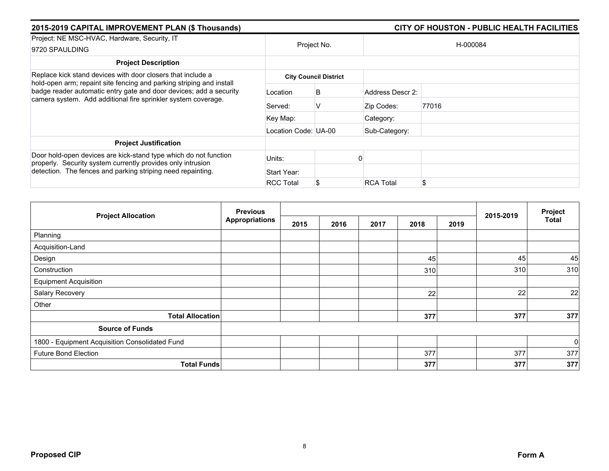| 2015-2019 CAPITAL IMPROVEMENT PLAN (\$ Thousands)                                                                                                                                                           |                      | CITY OF HOUSTON - PUBLIC HEALTH FACILITIES |                  |          |  |  |
|-------------------------------------------------------------------------------------------------------------------------------------------------------------------------------------------------------------|----------------------|--------------------------------------------|------------------|----------|--|--|
| Project: NE MSC-HVAC, Hardware, Security, IT<br>9720 SPAULDING                                                                                                                                              |                      | Project No.                                |                  | H-000084 |  |  |
| <b>Project Description</b>                                                                                                                                                                                  |                      |                                            |                  |          |  |  |
| Replace kick stand devices with door closers that include a                                                                                                                                                 |                      | <b>City Council District</b>               |                  |          |  |  |
| hold-open arm; repaint site fencing and parking striping and install<br>badge reader automatic entry gate and door devices; add a security<br>camera system. Add additional fire sprinkler system coverage. | Location             | B                                          | Address Descr 2: |          |  |  |
|                                                                                                                                                                                                             | Served:              | V                                          | Zip Codes:       | 77016    |  |  |
|                                                                                                                                                                                                             | Key Map:             |                                            | Category:        |          |  |  |
|                                                                                                                                                                                                             | Location Code: UA-00 |                                            | Sub-Category:    |          |  |  |
| <b>Project Justification</b>                                                                                                                                                                                |                      |                                            |                  |          |  |  |
| Door hold-open devices are kick-stand type which do not function<br>properly. Security system currently provides only intrusion                                                                             | Units:               |                                            |                  |          |  |  |
| detection. The fences and parking striping need repainting.                                                                                                                                                 | Start Year:          |                                            |                  |          |  |  |
|                                                                                                                                                                                                             | <b>RCC Total</b>     |                                            | <b>RCA Total</b> | \$       |  |  |

|                                                | <b>Previous</b>       |      |      |      |      |      |           | Project        |
|------------------------------------------------|-----------------------|------|------|------|------|------|-----------|----------------|
| <b>Project Allocation</b>                      | <b>Appropriations</b> | 2015 | 2016 | 2017 | 2018 | 2019 | 2015-2019 | Total          |
| Planning                                       |                       |      |      |      |      |      |           |                |
| Acquisition-Land                               |                       |      |      |      |      |      |           |                |
| Design                                         |                       |      |      |      | 45   |      | 45        | 45             |
| Construction                                   |                       |      |      |      | 310  |      | 310       | 310            |
| <b>Equipment Acquisition</b>                   |                       |      |      |      |      |      |           |                |
| Salary Recovery                                |                       |      |      |      | 22   |      | 22        | 22             |
| Other                                          |                       |      |      |      |      |      |           |                |
| <b>Total Allocation</b>                        |                       |      |      |      | 377  |      | 377       | 377            |
| <b>Source of Funds</b>                         |                       |      |      |      |      |      |           |                |
| 1800 - Equipment Acquisition Consolidated Fund |                       |      |      |      |      |      |           | $\overline{0}$ |
| <b>Future Bond Election</b>                    |                       |      |      |      | 377  |      | 377       | 377            |
| <b>Total Funds</b>                             |                       |      |      |      | 377  |      | 377       | 377            |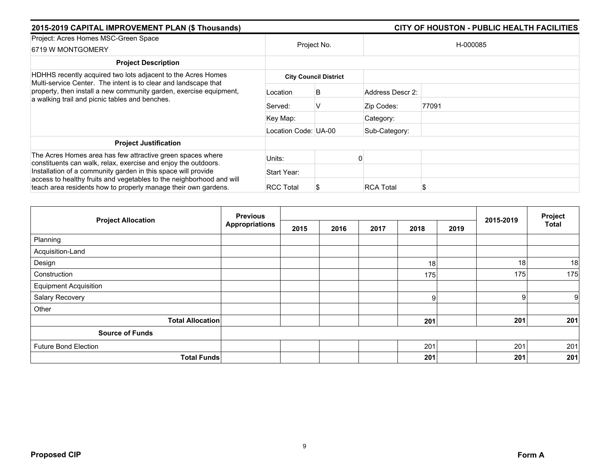| 2015-2019 CAPITAL IMPROVEMENT PLAN (\$ Thousands)                                                                                      |                      | CITY OF HOUSTON - PUBLIC HEALTH FACILITIES |                  |          |  |  |
|----------------------------------------------------------------------------------------------------------------------------------------|----------------------|--------------------------------------------|------------------|----------|--|--|
| Project: Acres Homes MSC-Green Space<br>6719 W MONTGOMERY                                                                              | Project No.          |                                            |                  | H-000085 |  |  |
| <b>Project Description</b>                                                                                                             |                      |                                            |                  |          |  |  |
| HDHHS recently acquired two lots adjacent to the Acres Homes<br>Multi-service Center. The intent is to clear and landscape that        |                      | <b>City Council District</b>               |                  |          |  |  |
| property, then install a new community garden, exercise equipment,<br>a walking trail and picnic tables and benches.                   | Location             | B                                          | Address Descr 2: |          |  |  |
|                                                                                                                                        | Served:              | v                                          | Zip Codes:       | 77091    |  |  |
|                                                                                                                                        | Key Map:             |                                            | Category:        |          |  |  |
|                                                                                                                                        | Location Code: UA-00 |                                            | Sub-Category:    |          |  |  |
| <b>Project Justification</b>                                                                                                           |                      |                                            |                  |          |  |  |
| The Acres Homes area has few attractive green spaces where<br>constituents can walk, relax, exercise and enjoy the outdoors.           | Units:               |                                            |                  |          |  |  |
| Installation of a community garden in this space will provide                                                                          | Start Year:          |                                            |                  |          |  |  |
| access to healthy fruits and vegetables to the neighborhood and will<br>teach area residents how to properly manage their own gardens. | <b>RCC Total</b>     |                                            | <b>RCA Total</b> | \$       |  |  |

|                              | <b>Previous</b>       |      |      |      |      |      | 2015-2019 | Project |
|------------------------------|-----------------------|------|------|------|------|------|-----------|---------|
| <b>Project Allocation</b>    | <b>Appropriations</b> | 2015 | 2016 | 2017 | 2018 | 2019 |           | Total   |
| Planning                     |                       |      |      |      |      |      |           |         |
| Acquisition-Land             |                       |      |      |      |      |      |           |         |
| Design                       |                       |      |      |      | 18   |      | 18        | 18      |
| Construction                 |                       |      |      |      | 175  |      | 175       | 175     |
| <b>Equipment Acquisition</b> |                       |      |      |      |      |      |           |         |
| Salary Recovery              |                       |      |      |      | g    |      | 9         | 9       |
| Other                        |                       |      |      |      |      |      |           |         |
| <b>Total Allocation</b>      |                       |      |      |      | 201  |      | 201       | 201     |
| <b>Source of Funds</b>       |                       |      |      |      |      |      |           |         |
| <b>Future Bond Election</b>  |                       |      |      |      | 201  |      | 201       | 201     |
| <b>Total Funds</b>           |                       |      |      |      | 201  |      | 201       | 201     |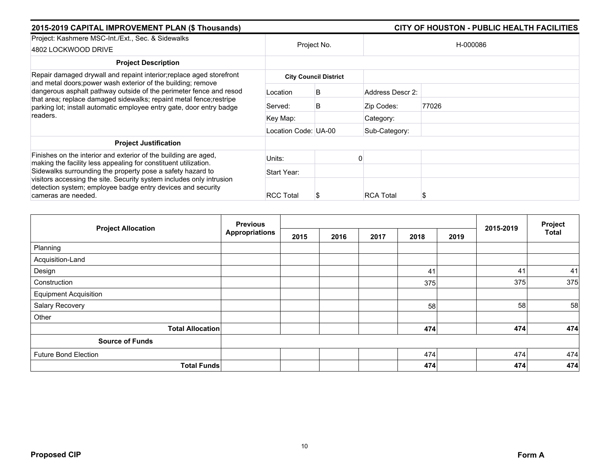| 2015-2019 CAPITAL IMPROVEMENT PLAN (\$ Thousands)                                                                                                                                                                                                                                             |                      |                              |                  | CITY OF HOUSTON - PUBLIC HEALTH FACILITIES |
|-----------------------------------------------------------------------------------------------------------------------------------------------------------------------------------------------------------------------------------------------------------------------------------------------|----------------------|------------------------------|------------------|--------------------------------------------|
| Project: Kashmere MSC-Int./Ext., Sec. & Sidewalks<br>4802 LOCKWOOD DRIVE                                                                                                                                                                                                                      |                      | Project No.                  |                  | H-000086                                   |
| <b>Project Description</b>                                                                                                                                                                                                                                                                    |                      |                              |                  |                                            |
| Repair damaged drywall and repaint interior; replace aged storefront                                                                                                                                                                                                                          |                      | <b>City Council District</b> |                  |                                            |
| and metal doors; power wash exterior of the building; remove<br>dangerous asphalt pathway outside of the perimeter fence and resod<br>that area; replace damaged sidewalks; repaint metal fence; restripe<br>parking lot; install automatic employee entry gate, door entry badge<br>readers. | Location             | В                            | Address Descr 2: |                                            |
|                                                                                                                                                                                                                                                                                               | Served:              | B                            | Zip Codes:       | 77026                                      |
|                                                                                                                                                                                                                                                                                               | Key Map:             |                              | Category:        |                                            |
|                                                                                                                                                                                                                                                                                               | Location Code: UA-00 |                              | Sub-Category:    |                                            |
| <b>Project Justification</b>                                                                                                                                                                                                                                                                  |                      |                              |                  |                                            |
| Finishes on the interior and exterior of the building are aged,<br>making the facility less appealing for constituent utilization.                                                                                                                                                            | Units:               |                              |                  |                                            |
| Sidewalks surrounding the property pose a safety hazard to<br>visitors accessing the site. Security system includes only intrusion<br>detection system; employee badge entry devices and security<br>cameras are needed.                                                                      | Start Year:          |                              |                  |                                            |
|                                                                                                                                                                                                                                                                                               | <b>RCC Total</b>     | 8                            | <b>RCA Total</b> |                                            |

|                              | <b>Previous</b>       |      |      |      |      |      | 2015-2019 | Project      |
|------------------------------|-----------------------|------|------|------|------|------|-----------|--------------|
| <b>Project Allocation</b>    | <b>Appropriations</b> | 2015 | 2016 | 2017 | 2018 | 2019 |           | <b>Total</b> |
| Planning                     |                       |      |      |      |      |      |           |              |
| Acquisition-Land             |                       |      |      |      |      |      |           |              |
| Design                       |                       |      |      |      | 41   |      | 41        | 41           |
| Construction                 |                       |      |      |      | 375  |      | 375       | 375          |
| <b>Equipment Acquisition</b> |                       |      |      |      |      |      |           |              |
| Salary Recovery              |                       |      |      |      | 58   |      | 58        | 58           |
| Other                        |                       |      |      |      |      |      |           |              |
| <b>Total Allocation</b>      |                       |      |      |      | 474  |      | 474       | 474          |
| <b>Source of Funds</b>       |                       |      |      |      |      |      |           |              |
| <b>Future Bond Election</b>  |                       |      |      |      | 474  |      | 474       | 474          |
| <b>Total Funds</b>           |                       |      |      |      | 474  |      | 474       | 474          |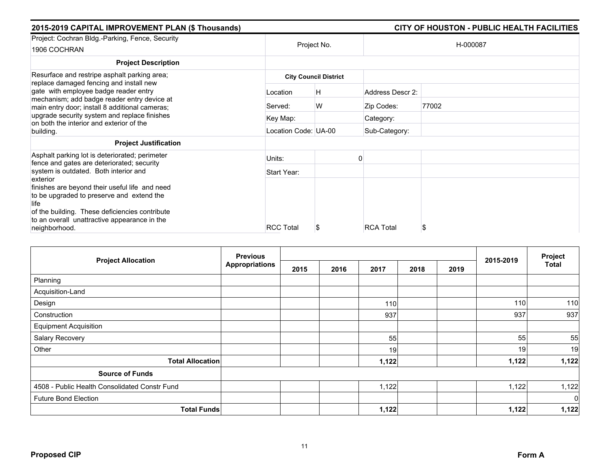| 2015-2019 CAPITAL IMPROVEMENT PLAN (\$ Thousands)                                                                                                                                         |                      | CITY OF HOUSTON - PUBLIC HEALTH FACILITIES |                  |       |  |  |
|-------------------------------------------------------------------------------------------------------------------------------------------------------------------------------------------|----------------------|--------------------------------------------|------------------|-------|--|--|
| Project: Cochran Bldg.-Parking, Fence, Security                                                                                                                                           |                      |                                            | H-000087         |       |  |  |
| 1906 COCHRAN                                                                                                                                                                              |                      | Project No.                                |                  |       |  |  |
| <b>Project Description</b>                                                                                                                                                                |                      |                                            |                  |       |  |  |
| Resurface and restripe asphalt parking area;<br>replace damaged fencing and install new                                                                                                   |                      | <b>City Council District</b>               |                  |       |  |  |
| gate with employee badge reader entry                                                                                                                                                     | Location             | H                                          | Address Descr 2: |       |  |  |
| mechanism; add badge reader entry device at<br>main entry door; install 8 additional cameras;<br>upgrade security system and replace finishes<br>on both the interior and exterior of the | Served:              | W                                          | Zip Codes:       | 77002 |  |  |
|                                                                                                                                                                                           | Key Map:             |                                            | Category:        |       |  |  |
| building.                                                                                                                                                                                 | Location Code: UA-00 |                                            | Sub-Category:    |       |  |  |
| <b>Project Justification</b>                                                                                                                                                              |                      |                                            |                  |       |  |  |
| Asphalt parking lot is deteriorated; perimeter<br>fence and gates are deteriorated; security                                                                                              | Units:               |                                            |                  |       |  |  |
| system is outdated. Both interior and<br>exterior                                                                                                                                         | Start Year:          |                                            |                  |       |  |  |
| finishes are beyond their useful life and need                                                                                                                                            |                      |                                            |                  |       |  |  |
| to be upgraded to preserve and extend the                                                                                                                                                 |                      |                                            |                  |       |  |  |
| life<br>of the building. These deficiencies contribute                                                                                                                                    |                      |                                            |                  |       |  |  |
| to an overall unattractive appearance in the                                                                                                                                              |                      |                                            |                  |       |  |  |
| neighborhood.                                                                                                                                                                             | <b>RCC Total</b>     | S                                          | <b>RCA Total</b> | \$    |  |  |

|                                               | <b>Previous</b>       |      | 2015-2019 | Project |              |  |       |              |
|-----------------------------------------------|-----------------------|------|-----------|---------|--------------|--|-------|--------------|
| <b>Project Allocation</b>                     | <b>Appropriations</b> | 2015 | 2016      | 2017    | 2018<br>2019 |  |       | <b>Total</b> |
| Planning                                      |                       |      |           |         |              |  |       |              |
| Acquisition-Land                              |                       |      |           |         |              |  |       |              |
| Design                                        |                       |      |           | 110     |              |  | 110   | 110          |
| Construction                                  |                       |      |           | 937     |              |  | 937   | 937          |
| <b>Equipment Acquisition</b>                  |                       |      |           |         |              |  |       |              |
| Salary Recovery                               |                       |      |           | 55      |              |  | 55    | 55           |
| Other                                         |                       |      |           | 19      |              |  | 19    | 19           |
| <b>Total Allocation</b>                       |                       |      |           | 1,122   |              |  | 1,122 | 1,122        |
| <b>Source of Funds</b>                        |                       |      |           |         |              |  |       |              |
| 4508 - Public Health Consolidated Constr Fund |                       |      |           | 1,122   |              |  | 1,122 | 1,122        |
| <b>Future Bond Election</b>                   |                       |      |           |         |              |  |       | 0            |
| <b>Total Funds</b>                            |                       |      |           | 1,122   |              |  | 1,122 | 1,122        |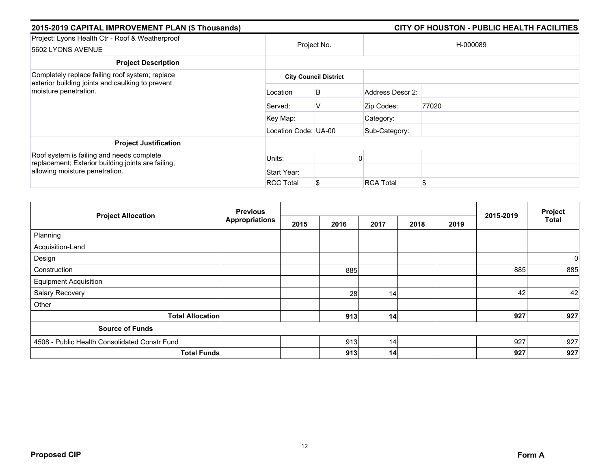| 2015-2019 CAPITAL IMPROVEMENT PLAN (\$ Thousands)                                               |                      |                              |                  | CITY OF HOUSTON - PUBLIC HEALTH FACILITIES |  |  |  |
|-------------------------------------------------------------------------------------------------|----------------------|------------------------------|------------------|--------------------------------------------|--|--|--|
| Project: Lyons Health Ctr - Roof & Weatherproof<br>5602 LYONS AVENUE                            | Project No.          |                              | H-000089         |                                            |  |  |  |
| <b>Project Description</b>                                                                      |                      |                              |                  |                                            |  |  |  |
| Completely replace failing roof system; replace                                                 |                      | <b>City Council District</b> |                  |                                            |  |  |  |
| exterior building joints and caulking to prevent<br>moisture penetration.                       | Location             | B                            | Address Descr 2: |                                            |  |  |  |
|                                                                                                 | Served:              | V                            | Zip Codes:       | 77020                                      |  |  |  |
|                                                                                                 | Key Map:             |                              | Category:        |                                            |  |  |  |
|                                                                                                 | Location Code: UA-00 |                              | Sub-Category:    |                                            |  |  |  |
| <b>Project Justification</b>                                                                    |                      |                              |                  |                                            |  |  |  |
| Roof system is failing and needs complete<br>replacement; Exterior building joints are failing, | Units:               |                              |                  |                                            |  |  |  |
| allowing moisture penetration.                                                                  | Start Year:          |                              |                  |                                            |  |  |  |
|                                                                                                 | <b>RCC Total</b>     | \$                           | <b>RCA Total</b> | \$                                         |  |  |  |

| <b>Project Allocation</b>                     | <b>Previous</b>       |      |      |      | 2015-2019 | Project |     |       |
|-----------------------------------------------|-----------------------|------|------|------|-----------|---------|-----|-------|
|                                               | <b>Appropriations</b> | 2015 | 2016 | 2017 | 2018      | 2019    |     | Total |
| Planning                                      |                       |      |      |      |           |         |     |       |
| Acquisition-Land                              |                       |      |      |      |           |         |     |       |
| Design                                        |                       |      |      |      |           |         |     | 0     |
| Construction                                  |                       |      | 885  |      |           |         | 885 | 885   |
| <b>Equipment Acquisition</b>                  |                       |      |      |      |           |         |     |       |
| Salary Recovery                               |                       |      | 28   | 14   |           |         | 42  | 42    |
| Other                                         |                       |      |      |      |           |         |     |       |
| <b>Total Allocation</b>                       |                       |      | 913  | 14   |           |         | 927 | 927   |
| <b>Source of Funds</b>                        |                       |      |      |      |           |         |     |       |
| 4508 - Public Health Consolidated Constr Fund |                       |      | 913  | 14   |           |         | 927 | 927   |
| <b>Total Funds</b>                            |                       |      | 913  | 14   |           |         | 927 | 927   |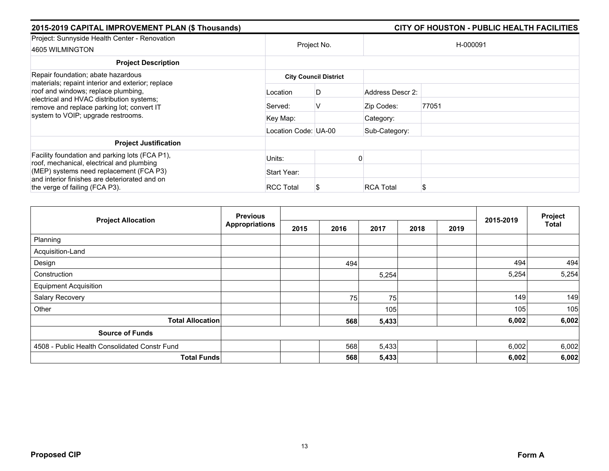| 2015-2019 CAPITAL IMPROVEMENT PLAN (\$ Thousands)                                                                                                                                                                         |                      |                              |                  | CITY OF HOUSTON - PUBLIC HEALTH FACILITIES |  |  |  |
|---------------------------------------------------------------------------------------------------------------------------------------------------------------------------------------------------------------------------|----------------------|------------------------------|------------------|--------------------------------------------|--|--|--|
| Project: Sunnyside Health Center - Renovation<br>4605 WILMINGTON                                                                                                                                                          | Project No.          |                              | H-000091         |                                            |  |  |  |
| <b>Project Description</b>                                                                                                                                                                                                |                      |                              |                  |                                            |  |  |  |
| Repair foundation; abate hazardous<br>materials; repaint interior and exterior; replace<br>roof and windows; replace plumbing,<br>electrical and HVAC distribution systems;<br>remove and replace parking lot; convert IT |                      | <b>City Council District</b> |                  |                                            |  |  |  |
|                                                                                                                                                                                                                           | Location             | D                            | Address Descr 2: |                                            |  |  |  |
|                                                                                                                                                                                                                           | Served:              | V                            | Zip Codes:       | 77051                                      |  |  |  |
| system to VOIP; upgrade restrooms.                                                                                                                                                                                        | Key Map:             |                              | Category:        |                                            |  |  |  |
|                                                                                                                                                                                                                           | Location Code: UA-00 |                              | Sub-Category:    |                                            |  |  |  |
| <b>Project Justification</b>                                                                                                                                                                                              |                      |                              |                  |                                            |  |  |  |
| Facility foundation and parking lots (FCA P1),<br>roof, mechanical, electrical and plumbing                                                                                                                               | Units:               |                              |                  |                                            |  |  |  |
| (MEP) systems need replacement (FCA P3)                                                                                                                                                                                   | Start Year:          |                              |                  |                                            |  |  |  |
| and interior finishes are deteriorated and on<br>the verge of failing (FCA P3).                                                                                                                                           | <b>RCC Total</b>     | S                            | <b>RCA Total</b> |                                            |  |  |  |

| <b>Project Allocation</b>                     | <b>Previous</b><br><b>Appropriations</b> |      |      |       | 2015-2019 | Project |       |              |
|-----------------------------------------------|------------------------------------------|------|------|-------|-----------|---------|-------|--------------|
|                                               |                                          | 2015 | 2016 | 2017  | 2018      | 2019    |       | <b>Total</b> |
| Planning                                      |                                          |      |      |       |           |         |       |              |
| Acquisition-Land                              |                                          |      |      |       |           |         |       |              |
| Design                                        |                                          |      | 494  |       |           |         | 494   | 494          |
| Construction                                  |                                          |      |      | 5,254 |           |         | 5,254 | 5,254        |
| <b>Equipment Acquisition</b>                  |                                          |      |      |       |           |         |       |              |
| Salary Recovery                               |                                          |      | 75   | 75    |           |         | 149   | 149          |
| Other                                         |                                          |      |      | 105   |           |         | 105   | 105          |
| <b>Total Allocation</b>                       |                                          |      | 568  | 5,433 |           |         | 6,002 | 6,002        |
| <b>Source of Funds</b>                        |                                          |      |      |       |           |         |       |              |
| 4508 - Public Health Consolidated Constr Fund |                                          |      | 568  | 5,433 |           |         | 6,002 | 6,002        |
| <b>Total Funds</b>                            |                                          |      | 568  | 5,433 |           |         | 6,002 | 6,002        |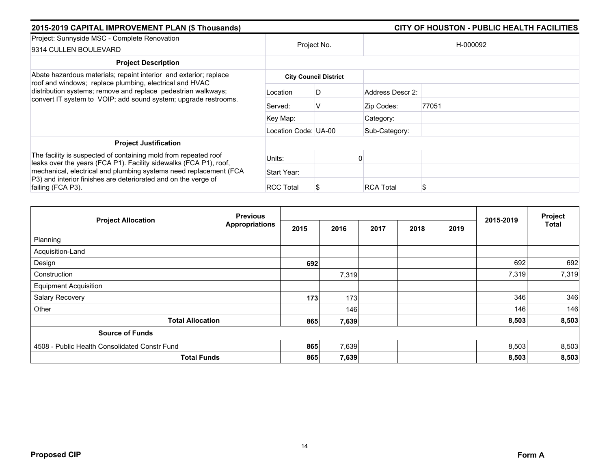| 2015-2019 CAPITAL IMPROVEMENT PLAN (\$ Thousands)                                                                                                        |                      | CITY OF HOUSTON - PUBLIC HEALTH FACILITIES |                  |          |  |  |
|----------------------------------------------------------------------------------------------------------------------------------------------------------|----------------------|--------------------------------------------|------------------|----------|--|--|
| Project: Sunnyside MSC - Complete Renovation<br>9314 CULLEN BOULEVARD                                                                                    | Project No.          |                                            |                  | H-000092 |  |  |
| <b>Project Description</b>                                                                                                                               |                      |                                            |                  |          |  |  |
| Abate hazardous materials; repaint interior and exterior; replace<br>roof and windows; replace plumbing, electrical and HVAC                             |                      | <b>City Council District</b>               |                  |          |  |  |
| distribution systems; remove and replace pedestrian walkways;<br>convert IT system to VOIP; add sound system; upgrade restrooms.                         | Location             | D                                          | Address Descr 2: |          |  |  |
|                                                                                                                                                          | Served:              | V                                          | Zip Codes:       | 77051    |  |  |
|                                                                                                                                                          | Key Map:             |                                            | Category:        |          |  |  |
|                                                                                                                                                          | Location Code: UA-00 |                                            | Sub-Category:    |          |  |  |
| <b>Project Justification</b>                                                                                                                             |                      |                                            |                  |          |  |  |
| The facility is suspected of containing mold from repeated roof<br>leaks over the years (FCA P1). Facility sidewalks (FCA P1), roof,                     | Units:               |                                            |                  |          |  |  |
| mechanical, electrical and plumbing systems need replacement (FCA<br>P3) and interior finishes are deteriorated and on the verge of<br>failing (FCA P3). | Start Year:          |                                            |                  |          |  |  |
|                                                                                                                                                          | <b>RCC Total</b>     |                                            | <b>RCA Total</b> | S        |  |  |

| <b>Project Allocation</b>                     | <b>Previous</b>       |      |       |      | 2015-2019 | Project |       |              |
|-----------------------------------------------|-----------------------|------|-------|------|-----------|---------|-------|--------------|
|                                               | <b>Appropriations</b> | 2015 | 2016  | 2017 | 2018      | 2019    |       | <b>Total</b> |
| Planning                                      |                       |      |       |      |           |         |       |              |
| Acquisition-Land                              |                       |      |       |      |           |         |       |              |
| Design                                        |                       | 692  |       |      |           |         | 692   | 692          |
| Construction                                  |                       |      | 7,319 |      |           |         | 7,319 | 7,319        |
| <b>Equipment Acquisition</b>                  |                       |      |       |      |           |         |       |              |
| Salary Recovery                               |                       | 173  | 173   |      |           |         | 346   | 346          |
| Other                                         |                       |      | 146   |      |           |         | 146   | 146          |
| <b>Total Allocation</b>                       |                       | 865  | 7,639 |      |           |         | 8,503 | 8,503        |
| <b>Source of Funds</b>                        |                       |      |       |      |           |         |       |              |
| 4508 - Public Health Consolidated Constr Fund |                       | 865  | 7,639 |      |           |         | 8,503 | 8,503        |
| <b>Total Funds</b>                            |                       | 865  | 7,639 |      |           |         | 8,503 | 8,503        |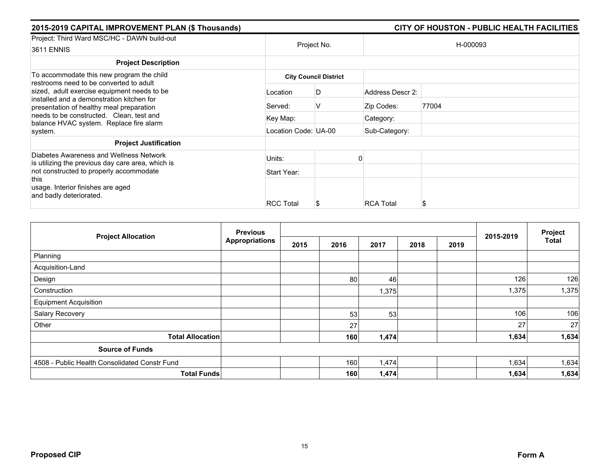| 2015-2019 CAPITAL IMPROVEMENT PLAN (\$ Thousands)                                                                                                                                                                            |                              | CITY OF HOUSTON - PUBLIC HEALTH FACILITIES |                  |          |  |  |  |  |
|------------------------------------------------------------------------------------------------------------------------------------------------------------------------------------------------------------------------------|------------------------------|--------------------------------------------|------------------|----------|--|--|--|--|
| Project: Third Ward MSC/HC - DAWN build-out<br><b>3611 ENNIS</b>                                                                                                                                                             |                              | Project No.                                |                  | H-000093 |  |  |  |  |
| <b>Project Description</b>                                                                                                                                                                                                   |                              |                                            |                  |          |  |  |  |  |
| To accommodate this new program the child<br>restrooms need to be converted to adult                                                                                                                                         | <b>City Council District</b> |                                            |                  |          |  |  |  |  |
| sized, adult exercise equipment needs to be.<br>installed and a demonstration kitchen for<br>presentation of healthy meal preparation<br>needs to be constructed. Clean, test and<br>balance HVAC system. Replace fire alarm | Location                     | D                                          | Address Descr 2: |          |  |  |  |  |
|                                                                                                                                                                                                                              | Served:                      | V                                          | Zip Codes:       | 77004    |  |  |  |  |
|                                                                                                                                                                                                                              | Key Map:                     |                                            | Category:        |          |  |  |  |  |
| system.                                                                                                                                                                                                                      | Location Code: UA-00         |                                            | Sub-Category:    |          |  |  |  |  |
| <b>Project Justification</b>                                                                                                                                                                                                 |                              |                                            |                  |          |  |  |  |  |
| Diabetes Awareness and Wellness Network<br>is utilizing the previous day care area, which is                                                                                                                                 | Units:                       |                                            |                  |          |  |  |  |  |
| not constructed to properly accommodate                                                                                                                                                                                      | Start Year:                  |                                            |                  |          |  |  |  |  |
| this<br>usage. Interior finishes are aged                                                                                                                                                                                    |                              |                                            |                  |          |  |  |  |  |
| and badly deteriorated.                                                                                                                                                                                                      | <b>RCC Total</b>             |                                            | <b>RCA Total</b> | S        |  |  |  |  |
|                                                                                                                                                                                                                              |                              |                                            |                  |          |  |  |  |  |

|                                               | <b>Previous</b>       |      |      |       |      |      |           | Project      |
|-----------------------------------------------|-----------------------|------|------|-------|------|------|-----------|--------------|
| <b>Project Allocation</b>                     | <b>Appropriations</b> | 2015 | 2016 | 2017  | 2018 | 2019 | 2015-2019 | <b>Total</b> |
| Planning                                      |                       |      |      |       |      |      |           |              |
| Acquisition-Land                              |                       |      |      |       |      |      |           |              |
| Design                                        |                       |      | 80   | 46    |      |      | 126       | 126          |
| Construction                                  |                       |      |      | 1,375 |      |      | 1,375     | 1,375        |
| <b>Equipment Acquisition</b>                  |                       |      |      |       |      |      |           |              |
| Salary Recovery                               |                       |      | 53   | 53    |      |      | 106       | 106          |
| Other                                         |                       |      | 27   |       |      |      | 27        | 27           |
| <b>Total Allocation</b>                       |                       |      | 160  | 1,474 |      |      | 1,634     | 1,634        |
| <b>Source of Funds</b>                        |                       |      |      |       |      |      |           |              |
| 4508 - Public Health Consolidated Constr Fund |                       |      | 160  | 1,474 |      |      | 1,634     | 1,634        |
| <b>Total Funds</b>                            |                       |      | 160  | 1,474 |      |      | 1,634     | 1,634        |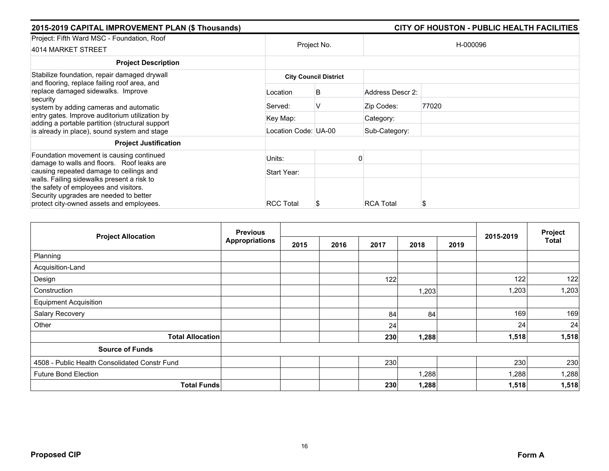| 2015-2019 CAPITAL IMPROVEMENT PLAN (\$ Thousands)                                                                                                                                          |                              | CITY OF HOUSTON - PUBLIC HEALTH FACILITIES |                  |          |  |  |  |  |
|--------------------------------------------------------------------------------------------------------------------------------------------------------------------------------------------|------------------------------|--------------------------------------------|------------------|----------|--|--|--|--|
| Project: Fifth Ward MSC - Foundation, Roof<br>4014 MARKET STREET                                                                                                                           |                              | Project No.                                |                  | H-000096 |  |  |  |  |
| <b>Project Description</b>                                                                                                                                                                 |                              |                                            |                  |          |  |  |  |  |
| Stabilize foundation, repair damaged drywall                                                                                                                                               | <b>City Council District</b> |                                            |                  |          |  |  |  |  |
| and flooring, replace failing roof area, and<br>replace damaged sidewalks. Improve<br>security<br>system by adding cameras and automatic<br>entry gates. Improve auditorium utilization by | Location                     | B                                          | Address Descr 2: |          |  |  |  |  |
|                                                                                                                                                                                            | Served:                      | v                                          | Zip Codes:       | 77020    |  |  |  |  |
|                                                                                                                                                                                            | Key Map:                     |                                            | Category:        |          |  |  |  |  |
| adding a portable partition (structural support<br>is already in place), sound system and stage                                                                                            | Location Code: UA-00         |                                            | Sub-Category:    |          |  |  |  |  |
| <b>Project Justification</b>                                                                                                                                                               |                              |                                            |                  |          |  |  |  |  |
| Foundation movement is causing continued<br>damage to walls and floors. Roof leaks are                                                                                                     | Units:                       |                                            |                  |          |  |  |  |  |
| causing repeated damage to ceilings and                                                                                                                                                    | Start Year:                  |                                            |                  |          |  |  |  |  |
| walls. Failing sidewalks present a risk to<br>the safety of employees and visitors.<br>Security upgrades are needed to better<br>protect city-owned assets and employees.                  | <b>RCC Total</b>             | ъ                                          | <b>RCA Total</b> | S        |  |  |  |  |

| <b>Project Allocation</b>                     | <b>Previous</b><br><b>Appropriations</b> |      |      |      | 2015-2019 | Project |       |              |
|-----------------------------------------------|------------------------------------------|------|------|------|-----------|---------|-------|--------------|
|                                               |                                          | 2015 | 2016 | 2017 | 2018      | 2019    |       | <b>Total</b> |
| Planning                                      |                                          |      |      |      |           |         |       |              |
| Acquisition-Land                              |                                          |      |      |      |           |         |       |              |
| Design                                        |                                          |      |      | 122  |           |         | 122   | 122          |
| Construction                                  |                                          |      |      |      | 1,203     |         | 1,203 | 1,203        |
| <b>Equipment Acquisition</b>                  |                                          |      |      |      |           |         |       |              |
| Salary Recovery                               |                                          |      |      | 84   | 84        |         | 169   | 169          |
| Other                                         |                                          |      |      | 24   |           |         | 24    | 24           |
| <b>Total Allocation</b>                       |                                          |      |      | 230  | 1,288     |         | 1,518 | 1,518        |
| <b>Source of Funds</b>                        |                                          |      |      |      |           |         |       |              |
| 4508 - Public Health Consolidated Constr Fund |                                          |      |      | 230  |           |         | 230   | 230          |
| <b>Future Bond Election</b>                   |                                          |      |      |      | 1,288     |         | 1,288 | 1,288        |
| <b>Total Funds</b>                            |                                          |      |      | 230  | 1,288     |         | 1,518 | 1,518        |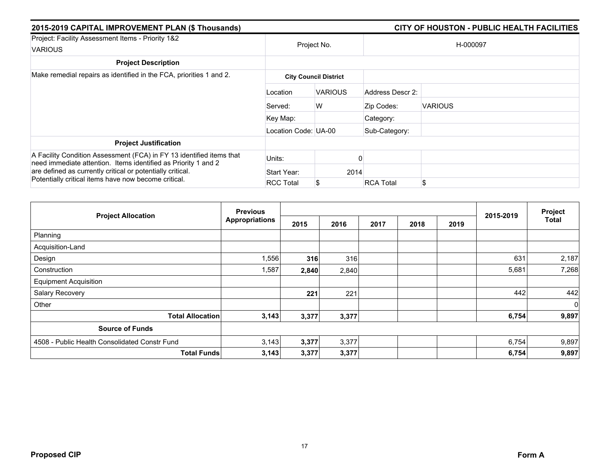| 2015-2019 CAPITAL IMPROVEMENT PLAN (\$ Thousands)                                                                                                                                                                                                            |                      |                              |                  | CITY OF HOUSTON - PUBLIC HEALTH FACILITIES |  |  |  |
|--------------------------------------------------------------------------------------------------------------------------------------------------------------------------------------------------------------------------------------------------------------|----------------------|------------------------------|------------------|--------------------------------------------|--|--|--|
| Project: Facility Assessment Items - Priority 1&2                                                                                                                                                                                                            |                      | Project No.                  |                  | H-000097                                   |  |  |  |
| <b>VARIOUS</b>                                                                                                                                                                                                                                               |                      |                              |                  |                                            |  |  |  |
| <b>Project Description</b>                                                                                                                                                                                                                                   |                      |                              |                  |                                            |  |  |  |
| Make remedial repairs as identified in the FCA, priorities 1 and 2.                                                                                                                                                                                          |                      | <b>City Council District</b> |                  |                                            |  |  |  |
|                                                                                                                                                                                                                                                              | Location             | <b>VARIOUS</b>               | Address Descr 2: |                                            |  |  |  |
|                                                                                                                                                                                                                                                              | Served:              | W                            | Zip Codes:       | <b>VARIOUS</b>                             |  |  |  |
|                                                                                                                                                                                                                                                              | Key Map:             |                              | Category:        |                                            |  |  |  |
|                                                                                                                                                                                                                                                              | Location Code: UA-00 |                              | Sub-Category:    |                                            |  |  |  |
| <b>Project Justification</b>                                                                                                                                                                                                                                 |                      |                              |                  |                                            |  |  |  |
| A Facility Condition Assessment (FCA) in FY 13 identified items that<br>need immediate attention. Items identified as Priority 1 and 2<br>are defined as currently critical or potentially critical.<br>Potentially critical items have now become critical. | Units:               |                              |                  |                                            |  |  |  |
|                                                                                                                                                                                                                                                              | Start Year:          | 2014                         |                  |                                            |  |  |  |
|                                                                                                                                                                                                                                                              | <b>RCC Total</b>     | \$                           | <b>RCA Total</b> | \$.                                        |  |  |  |

| <b>Project Allocation</b>                     | <b>Previous</b>       |       |       |      |      |      |           | Project        |
|-----------------------------------------------|-----------------------|-------|-------|------|------|------|-----------|----------------|
|                                               | <b>Appropriations</b> | 2015  | 2016  | 2017 | 2018 | 2019 | 2015-2019 | <b>Total</b>   |
| Planning                                      |                       |       |       |      |      |      |           |                |
| Acquisition-Land                              |                       |       |       |      |      |      |           |                |
| Design                                        | 1,556                 | 316   | 316   |      |      |      | 631       | 2,187          |
| Construction                                  | 1,587                 | 2,840 | 2,840 |      |      |      | 5,681     | 7,268          |
| <b>Equipment Acquisition</b>                  |                       |       |       |      |      |      |           |                |
| Salary Recovery                               |                       | 221   | 221   |      |      |      | 442       | 442            |
| Other                                         |                       |       |       |      |      |      |           | $\overline{0}$ |
| <b>Total Allocation</b>                       | 3,143                 | 3,377 | 3,377 |      |      |      | 6,754     | 9,897          |
| <b>Source of Funds</b>                        |                       |       |       |      |      |      |           |                |
| 4508 - Public Health Consolidated Constr Fund | 3,143                 | 3,377 | 3,377 |      |      |      | 6,754     | 9,897          |
| <b>Total Funds</b>                            | 3,143                 | 3,377 | 3,377 |      |      |      | 6,754     | 9,897          |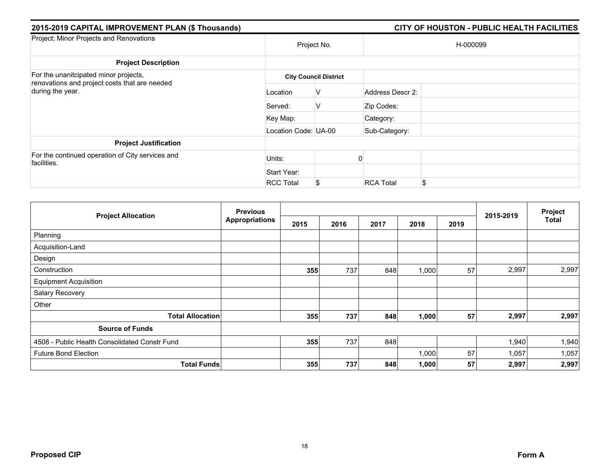| 2015-2019 CAPITAL IMPROVEMENT PLAN (\$ Thousands)                                      |                      | CITY OF HOUSTON - PUBLIC HEALTH FACILITIES |                  |    |  |  |
|----------------------------------------------------------------------------------------|----------------------|--------------------------------------------|------------------|----|--|--|
| Project: Minor Projects and Renovations                                                | Project No.          |                                            | H-000099         |    |  |  |
| <b>Project Description</b>                                                             |                      |                                            |                  |    |  |  |
| For the unanitcipated minor projects,<br>renovations and project costs that are needed |                      | <b>City Council District</b>               |                  |    |  |  |
| during the year.                                                                       | Location             | V                                          | Address Descr 2: |    |  |  |
|                                                                                        | Served:              | V                                          | Zip Codes:       |    |  |  |
|                                                                                        | Key Map:             |                                            | Category:        |    |  |  |
|                                                                                        | Location Code: UA-00 |                                            | Sub-Category:    |    |  |  |
| <b>Project Justification</b>                                                           |                      |                                            |                  |    |  |  |
| For the continued operation of City services and<br>facilities.                        | Units:               |                                            |                  |    |  |  |
|                                                                                        | Start Year:          |                                            |                  |    |  |  |
|                                                                                        | <b>RCC Total</b>     | S                                          | <b>RCA Total</b> | \$ |  |  |

| <b>Project Allocation</b>                     | <b>Previous</b>       |      |      |      | 2015-2019 | Project |       |              |
|-----------------------------------------------|-----------------------|------|------|------|-----------|---------|-------|--------------|
|                                               | <b>Appropriations</b> | 2015 | 2016 | 2017 | 2018      | 2019    |       | <b>Total</b> |
| Planning                                      |                       |      |      |      |           |         |       |              |
| Acquisition-Land                              |                       |      |      |      |           |         |       |              |
| Design                                        |                       |      |      |      |           |         |       |              |
| Construction                                  |                       | 355  | 737  | 848  | 1,000     | 57      | 2,997 | 2,997        |
| <b>Equipment Acquisition</b>                  |                       |      |      |      |           |         |       |              |
| Salary Recovery                               |                       |      |      |      |           |         |       |              |
| Other                                         |                       |      |      |      |           |         |       |              |
| <b>Total Allocation</b>                       |                       | 355  | 737  | 848  | 1,000     | 57      | 2,997 | 2,997        |
| <b>Source of Funds</b>                        |                       |      |      |      |           |         |       |              |
| 4508 - Public Health Consolidated Constr Fund |                       | 355  | 737  | 848  |           |         | 1,940 | 1,940        |
| <b>Future Bond Election</b>                   |                       |      |      |      | 1,000     | 57      | 1,057 | 1,057        |
| <b>Total Funds</b>                            |                       | 355  | 737  | 848  | 1,000     | 57      | 2,997 | 2,997        |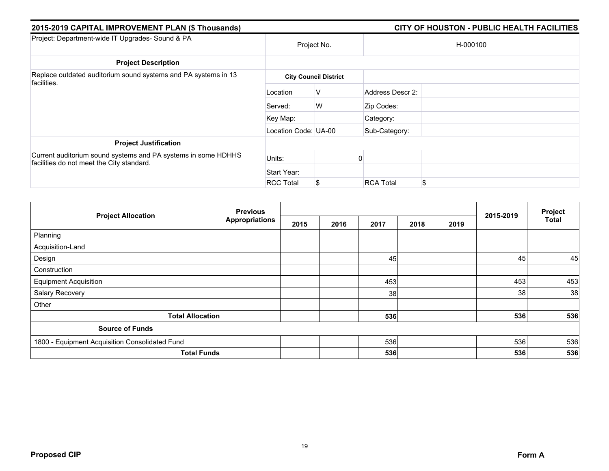| 2015-2019 CAPITAL IMPROVEMENT PLAN (\$ Thousands)                                                          |                      | CITY OF HOUSTON - PUBLIC HEALTH FACILITIES |                  |          |  |  |
|------------------------------------------------------------------------------------------------------------|----------------------|--------------------------------------------|------------------|----------|--|--|
| Project: Department-wide IT Upgrades- Sound & PA                                                           |                      | Project No.                                |                  | H-000100 |  |  |
| <b>Project Description</b>                                                                                 |                      |                                            |                  |          |  |  |
| Replace outdated auditorium sound systems and PA systems in 13<br>facilities.                              |                      | <b>City Council District</b>               |                  |          |  |  |
|                                                                                                            | Location             | V                                          | Address Descr 2: |          |  |  |
|                                                                                                            | Served:              | W                                          | Zip Codes:       |          |  |  |
|                                                                                                            | Key Map:             |                                            | Category:        |          |  |  |
|                                                                                                            | Location Code: UA-00 |                                            | Sub-Category:    |          |  |  |
| <b>Project Justification</b>                                                                               |                      |                                            |                  |          |  |  |
| Current auditorium sound systems and PA systems in some HDHHS<br>facilities do not meet the City standard. | Units:               |                                            |                  |          |  |  |
|                                                                                                            | Start Year:          |                                            |                  |          |  |  |
|                                                                                                            | <b>RCC Total</b>     | \$                                         | <b>RCA Total</b> | S        |  |  |

|                                                | <b>Previous</b>       |      |      |      |      | Project |           |              |
|------------------------------------------------|-----------------------|------|------|------|------|---------|-----------|--------------|
| <b>Project Allocation</b>                      | <b>Appropriations</b> | 2015 | 2016 | 2017 | 2018 | 2019    | 2015-2019 | <b>Total</b> |
| Planning                                       |                       |      |      |      |      |         |           |              |
| Acquisition-Land                               |                       |      |      |      |      |         |           |              |
| Design                                         |                       |      |      | 45   |      |         | 45        | 45           |
| Construction                                   |                       |      |      |      |      |         |           |              |
| <b>Equipment Acquisition</b>                   |                       |      |      | 453  |      |         | 453       | 453          |
| Salary Recovery                                |                       |      |      | 38   |      |         | 38        | 38           |
| Other                                          |                       |      |      |      |      |         |           |              |
| <b>Total Allocation</b>                        |                       |      |      | 536  |      |         | 536       | 536          |
| <b>Source of Funds</b>                         |                       |      |      |      |      |         |           |              |
| 1800 - Equipment Acquisition Consolidated Fund |                       |      |      | 536  |      |         | 536       | 536          |
| <b>Total Funds</b>                             |                       |      |      | 536  |      |         | 536       | 536          |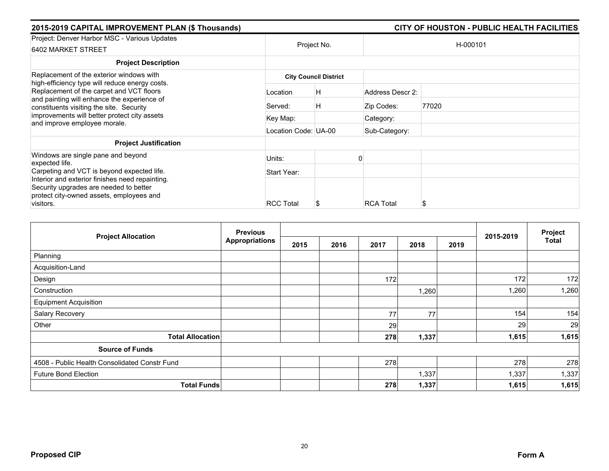| 2015-2019 CAPITAL IMPROVEMENT PLAN (\$ Thousands)                                                                                                                                                                   |                      |                              |                  | CITY OF HOUSTON - PUBLIC HEALTH FACILITIES |  |  |
|---------------------------------------------------------------------------------------------------------------------------------------------------------------------------------------------------------------------|----------------------|------------------------------|------------------|--------------------------------------------|--|--|
| Project: Denver Harbor MSC - Various Updates<br>6402 MARKET STREET                                                                                                                                                  | Project No.          |                              |                  | H-000101                                   |  |  |
| <b>Project Description</b>                                                                                                                                                                                          |                      |                              |                  |                                            |  |  |
| Replacement of the exterior windows with<br>high-efficiency type will reduce energy costs.                                                                                                                          |                      | <b>City Council District</b> |                  |                                            |  |  |
| Replacement of the carpet and VCT floors<br>and painting will enhance the experience of<br>constituents visiting the site. Security<br>improvements will better protect city assets<br>and improve employee morale. | Location             | H                            | Address Descr 2: |                                            |  |  |
|                                                                                                                                                                                                                     | Served:              | H                            | Zip Codes:       | 77020                                      |  |  |
|                                                                                                                                                                                                                     | Key Map:             |                              | Category:        |                                            |  |  |
|                                                                                                                                                                                                                     | Location Code: UA-00 |                              | Sub-Category:    |                                            |  |  |
| <b>Project Justification</b>                                                                                                                                                                                        |                      |                              |                  |                                            |  |  |
| Windows are single pane and beyond<br>expected life.                                                                                                                                                                | Units:               |                              |                  |                                            |  |  |
| Carpeting and VCT is beyond expected life.                                                                                                                                                                          | Start Year:          |                              |                  |                                            |  |  |
| Interior and exterior finishes need repainting.<br>Security upgrades are needed to better<br>protect city-owned assets, employees and                                                                               |                      |                              |                  |                                            |  |  |
| visitors.                                                                                                                                                                                                           | <b>RCC Total</b>     |                              | <b>RCA Total</b> | S                                          |  |  |

| <b>Project Allocation</b>                     | <b>Previous</b> |      |      |      |       |      |           | Project      |
|-----------------------------------------------|-----------------|------|------|------|-------|------|-----------|--------------|
|                                               | Appropriations  | 2015 | 2016 | 2017 | 2018  | 2019 | 2015-2019 | <b>Total</b> |
| Planning                                      |                 |      |      |      |       |      |           |              |
| Acquisition-Land                              |                 |      |      |      |       |      |           |              |
| Design                                        |                 |      |      | 172  |       |      | 172       | 172          |
| Construction                                  |                 |      |      |      | 1,260 |      | 1,260     | 1,260        |
| <b>Equipment Acquisition</b>                  |                 |      |      |      |       |      |           |              |
| Salary Recovery                               |                 |      |      | 77   | 77    |      | 154       | 154          |
| Other                                         |                 |      |      | 29   |       |      | 29        | 29           |
| <b>Total Allocation</b>                       |                 |      |      | 278  | 1,337 |      | 1,615     | 1,615        |
| <b>Source of Funds</b>                        |                 |      |      |      |       |      |           |              |
| 4508 - Public Health Consolidated Constr Fund |                 |      |      | 278  |       |      | 278       | 278          |
| <b>Future Bond Election</b>                   |                 |      |      |      | 1,337 |      | 1,337     | 1,337        |
| <b>Total Funds</b>                            |                 |      |      | 278  | 1,337 |      | 1,615     | 1,615        |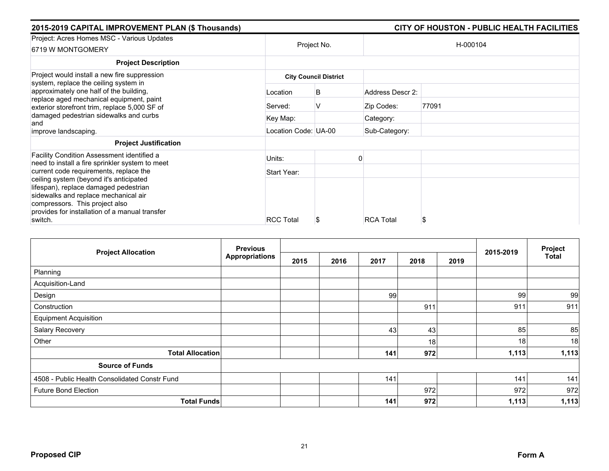| 2015-2019 CAPITAL IMPROVEMENT PLAN (\$ Thousands)                                             |                              | CITY OF HOUSTON - PUBLIC HEALTH FACILITIES |                  |          |  |  |  |
|-----------------------------------------------------------------------------------------------|------------------------------|--------------------------------------------|------------------|----------|--|--|--|
| Project: Acres Homes MSC - Various Updates<br>6719 W MONTGOMERY                               | Project No.                  |                                            |                  | H-000104 |  |  |  |
| <b>Project Description</b>                                                                    |                              |                                            |                  |          |  |  |  |
| Project would install a new fire suppression<br>system, replace the ceiling system in         | <b>City Council District</b> |                                            |                  |          |  |  |  |
| approximately one half of the building,                                                       | Location                     | B                                          | Address Descr 2: |          |  |  |  |
| replace aged mechanical equipment, paint<br>exterior storefront trim, replace 5,000 SF of     | Served:                      | v                                          | Zip Codes:       | 77091    |  |  |  |
| damaged pedestrian sidewalks and curbs<br>and                                                 | Key Map:                     |                                            | Category:        |          |  |  |  |
| improve landscaping.                                                                          | Location Code: UA-00         |                                            | Sub-Category:    |          |  |  |  |
| <b>Project Justification</b>                                                                  |                              |                                            |                  |          |  |  |  |
| Facility Condition Assessment identified a<br>need to install a fire sprinkler system to meet | Units:                       |                                            |                  |          |  |  |  |
| current code requirements, replace the                                                        | Start Year:                  |                                            |                  |          |  |  |  |
| ceiling system (beyond it's anticipated<br>lifespan), replace damaged pedestrian              |                              |                                            |                  |          |  |  |  |
| sidewalks and replace mechanical air<br>compressors. This project also                        |                              |                                            |                  |          |  |  |  |
| provides for installation of a manual transfer                                                |                              |                                            |                  |          |  |  |  |
| switch.                                                                                       | <b>RCC Total</b>             | Ъ                                          | <b>RCA Total</b> | S        |  |  |  |

|                                               | <b>Previous</b><br><b>Project Allocation</b> |      |      |      |      |      | 2015-2019 | Project      |
|-----------------------------------------------|----------------------------------------------|------|------|------|------|------|-----------|--------------|
|                                               | <b>Appropriations</b>                        | 2015 | 2016 | 2017 | 2018 | 2019 |           | <b>Total</b> |
| Planning                                      |                                              |      |      |      |      |      |           |              |
| Acquisition-Land                              |                                              |      |      |      |      |      |           |              |
| Design                                        |                                              |      |      | 99   |      |      | 99        | 99           |
| Construction                                  |                                              |      |      |      | 911  |      | 911       | 911          |
| <b>Equipment Acquisition</b>                  |                                              |      |      |      |      |      |           |              |
| Salary Recovery                               |                                              |      |      | 43   | 43   |      | 85        | 85           |
| Other                                         |                                              |      |      |      | 18   |      | 18        | 18           |
| <b>Total Allocation</b>                       |                                              |      |      | 141  | 972  |      | 1,113     | 1,113        |
| <b>Source of Funds</b>                        |                                              |      |      |      |      |      |           |              |
| 4508 - Public Health Consolidated Constr Fund |                                              |      |      | 141  |      |      | 141       | 141          |
| <b>Future Bond Election</b>                   |                                              |      |      |      | 972  |      | 972       | 972          |
| <b>Total Funds</b>                            |                                              |      |      | 141  | 972  |      | 1,113     | 1,113        |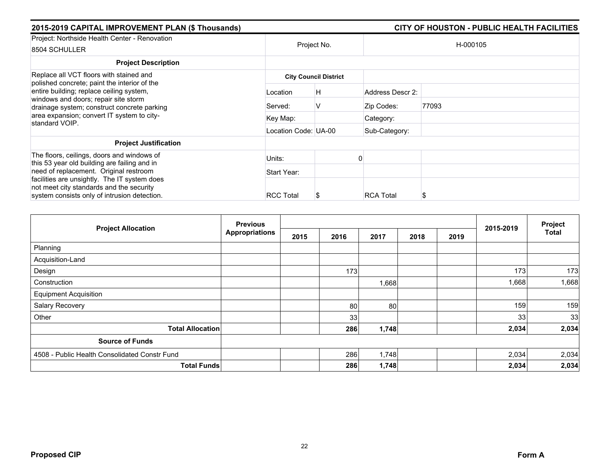| 2015-2019 CAPITAL IMPROVEMENT PLAN (\$ Thousands)                                                                                                                               |                      |                              |                  | CITY OF HOUSTON - PUBLIC HEALTH FACILITIES |  |  |  |
|---------------------------------------------------------------------------------------------------------------------------------------------------------------------------------|----------------------|------------------------------|------------------|--------------------------------------------|--|--|--|
| Project: Northside Health Center - Renovation<br>8504 SCHULLER                                                                                                                  |                      | Project No.                  |                  | H-000105                                   |  |  |  |
| <b>Project Description</b>                                                                                                                                                      |                      |                              |                  |                                            |  |  |  |
| Replace all VCT floors with stained and                                                                                                                                         |                      | <b>City Council District</b> |                  |                                            |  |  |  |
| polished concrete; paint the interior of the<br>entire building; replace ceiling system,<br>windows and doors; repair site storm<br>drainage system; construct concrete parking | Location             | H                            | Address Descr 2: |                                            |  |  |  |
|                                                                                                                                                                                 | Served:              | V                            | Zip Codes:       | 77093                                      |  |  |  |
| area expansion; convert IT system to city-<br>standard VOIP.                                                                                                                    | Key Map:             |                              | Category:        |                                            |  |  |  |
|                                                                                                                                                                                 | Location Code: UA-00 |                              | Sub-Category:    |                                            |  |  |  |
| <b>Project Justification</b>                                                                                                                                                    |                      |                              |                  |                                            |  |  |  |
| The floors, ceilings, doors and windows of<br>this 53 year old building are failing and in                                                                                      | Units:               |                              |                  |                                            |  |  |  |
| need of replacement. Original restroom                                                                                                                                          | Start Year:          |                              |                  |                                            |  |  |  |
| facilities are unsightly. The IT system does<br>not meet city standards and the security<br>system consists only of intrusion detection.                                        | <b>RCC Total</b>     | Ъ                            | <b>RCA Total</b> | S                                          |  |  |  |

|                                               | <b>Previous</b> |      |      |       |      |      | 2015-2019 | Project      |
|-----------------------------------------------|-----------------|------|------|-------|------|------|-----------|--------------|
| <b>Project Allocation</b>                     | Appropriations  | 2015 | 2016 | 2017  | 2018 | 2019 |           | <b>Total</b> |
| Planning                                      |                 |      |      |       |      |      |           |              |
| Acquisition-Land                              |                 |      |      |       |      |      |           |              |
| Design                                        |                 |      | 173  |       |      |      | 173       | 173          |
| Construction                                  |                 |      |      | 1,668 |      |      | 1,668     | 1,668        |
| <b>Equipment Acquisition</b>                  |                 |      |      |       |      |      |           |              |
| Salary Recovery                               |                 |      | 80   | 80    |      |      | 159       | 159          |
| Other                                         |                 |      | 33   |       |      |      | 33        | 33           |
| <b>Total Allocation</b>                       |                 |      | 286  | 1,748 |      |      | 2,034     | 2,034        |
| <b>Source of Funds</b>                        |                 |      |      |       |      |      |           |              |
| 4508 - Public Health Consolidated Constr Fund |                 |      | 286  | 1,748 |      |      | 2,034     | 2,034        |
| <b>Total Funds</b>                            |                 |      | 286  | 1,748 |      |      | 2,034     | 2,034        |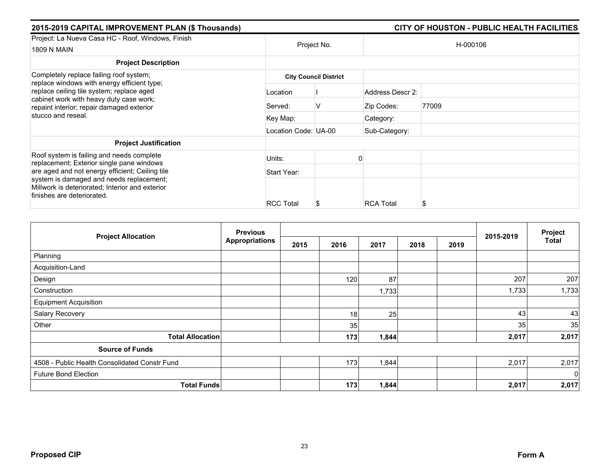| 2015-2019 CAPITAL IMPROVEMENT PLAN (\$ Thousands)                                                                                                                                                                           |                      |                              |                  | CITY OF HOUSTON - PUBLIC HEALTH FACILITIES |
|-----------------------------------------------------------------------------------------------------------------------------------------------------------------------------------------------------------------------------|----------------------|------------------------------|------------------|--------------------------------------------|
| Project: La Nueva Casa HC - Roof, Windows, Finish<br>1809 N MAIN                                                                                                                                                            | Project No.          |                              |                  | H-000106                                   |
| <b>Project Description</b>                                                                                                                                                                                                  |                      |                              |                  |                                            |
| Completely replace failing roof system;<br>replace windows with energy efficient type;<br>replace ceiling tile system; replace aged<br>cabinet work with heavy duty case work;<br>repaint interior; repair damaged exterior |                      | <b>City Council District</b> |                  |                                            |
|                                                                                                                                                                                                                             | Location             |                              | Address Descr 2: |                                            |
|                                                                                                                                                                                                                             | Served:              |                              | Zip Codes:       | 77009                                      |
| stucco and reseal.                                                                                                                                                                                                          | Key Map:             |                              | Category:        |                                            |
|                                                                                                                                                                                                                             | Location Code: UA-00 |                              | Sub-Category:    |                                            |
| <b>Project Justification</b>                                                                                                                                                                                                |                      |                              |                  |                                            |
| Roof system is failing and needs complete<br>replacement; Exterior single pane windows                                                                                                                                      | Units:               |                              |                  |                                            |
| are aged and not energy efficient; Ceiling tile                                                                                                                                                                             | Start Year:          |                              |                  |                                            |
| system is damaged and needs replacement;<br>Millwork is deteriorated; Interior and exterior<br>finishes are deteriorated.                                                                                                   |                      |                              |                  |                                            |
|                                                                                                                                                                                                                             | <b>RCC Total</b>     |                              | <b>RCA Total</b> | S                                          |

| <b>Project Allocation</b>                     | <b>Previous</b><br><b>Appropriations</b> |      |      |       | 2015-2019 | Project |       |              |
|-----------------------------------------------|------------------------------------------|------|------|-------|-----------|---------|-------|--------------|
|                                               |                                          | 2015 | 2016 | 2017  | 2018      | 2019    |       | <b>Total</b> |
| Planning                                      |                                          |      |      |       |           |         |       |              |
| Acquisition-Land                              |                                          |      |      |       |           |         |       |              |
| Design                                        |                                          |      | 120  | 87    |           |         | 207   | 207          |
| Construction                                  |                                          |      |      | 1,733 |           |         | 1,733 | 1,733        |
| <b>Equipment Acquisition</b>                  |                                          |      |      |       |           |         |       |              |
| Salary Recovery                               |                                          |      | 18   | 25    |           |         | 43    | 43           |
| Other                                         |                                          |      | 35   |       |           |         | 35    | 35           |
| <b>Total Allocation</b>                       |                                          |      | 173  | 1,844 |           |         | 2,017 | 2,017        |
| <b>Source of Funds</b>                        |                                          |      |      |       |           |         |       |              |
| 4508 - Public Health Consolidated Constr Fund |                                          |      | 173  | 1,844 |           |         | 2,017 | 2,017        |
| <b>Future Bond Election</b>                   |                                          |      |      |       |           |         |       | $\mathbf 0$  |
| <b>Total Funds</b>                            |                                          |      | 173  | 1,844 |           |         | 2,017 | 2,017        |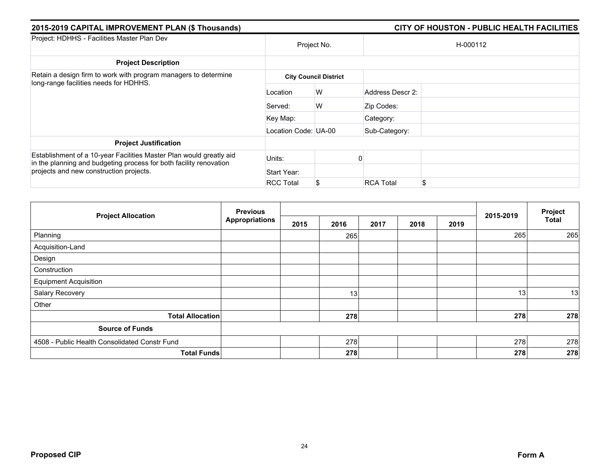| 2015-2019 CAPITAL IMPROVEMENT PLAN (\$ Thousands)                                                                                                                                    |                      |                              | CITY OF HOUSTON - PUBLIC HEALTH FACILITIES |          |  |  |  |
|--------------------------------------------------------------------------------------------------------------------------------------------------------------------------------------|----------------------|------------------------------|--------------------------------------------|----------|--|--|--|
| Project: HDHHS - Facilities Master Plan Dev                                                                                                                                          | Project No.          |                              |                                            | H-000112 |  |  |  |
| <b>Project Description</b>                                                                                                                                                           |                      |                              |                                            |          |  |  |  |
| Retain a design firm to work with program managers to determine<br>long-range facilities needs for HDHHS.                                                                            |                      | <b>City Council District</b> |                                            |          |  |  |  |
|                                                                                                                                                                                      | Location             | W                            | Address Descr 2:                           |          |  |  |  |
|                                                                                                                                                                                      | Served:              | W                            | Zip Codes:                                 |          |  |  |  |
|                                                                                                                                                                                      | Key Map:             |                              | Category:                                  |          |  |  |  |
|                                                                                                                                                                                      | Location Code: UA-00 |                              | Sub-Category:                              |          |  |  |  |
| <b>Project Justification</b>                                                                                                                                                         |                      |                              |                                            |          |  |  |  |
| Establishment of a 10-year Facilities Master Plan would greatly aid<br>in the planning and budgeting process for both facility renovation<br>projects and new construction projects. | Units:               |                              |                                            |          |  |  |  |
|                                                                                                                                                                                      | Start Year:          |                              |                                            |          |  |  |  |
|                                                                                                                                                                                      | <b>RCC Total</b>     | S.                           | <b>RCA Total</b>                           | \$       |  |  |  |

|                                               | <b>Previous</b>       |      |      |      | Project |      |           |              |
|-----------------------------------------------|-----------------------|------|------|------|---------|------|-----------|--------------|
| <b>Project Allocation</b>                     | <b>Appropriations</b> | 2015 | 2016 | 2017 | 2018    | 2019 | 2015-2019 | <b>Total</b> |
| Planning                                      |                       |      | 265  |      |         |      | 265       | 265          |
| Acquisition-Land                              |                       |      |      |      |         |      |           |              |
| Design                                        |                       |      |      |      |         |      |           |              |
| Construction                                  |                       |      |      |      |         |      |           |              |
| <b>Equipment Acquisition</b>                  |                       |      |      |      |         |      |           |              |
| Salary Recovery                               |                       |      | 13   |      |         |      | 13        | 13           |
| Other                                         |                       |      |      |      |         |      |           |              |
| <b>Total Allocation</b>                       |                       |      | 278  |      |         |      | 278       | 278          |
| <b>Source of Funds</b>                        |                       |      |      |      |         |      |           |              |
| 4508 - Public Health Consolidated Constr Fund |                       |      | 278  |      |         |      | 278       | 278          |
|                                               | <b>Total Funds</b>    |      | 278  |      |         |      | 278       | 278          |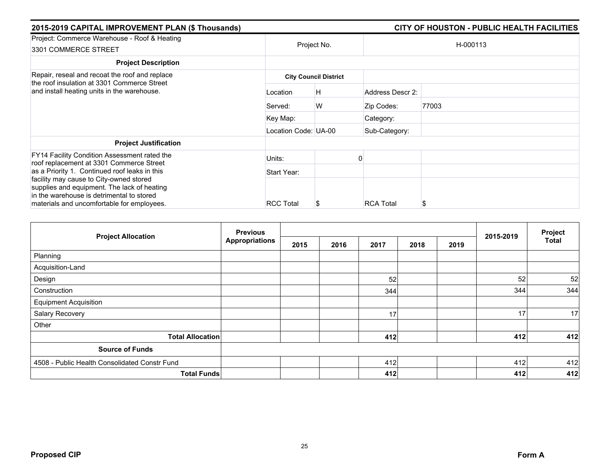|             |                  |                                                            | CITY OF HOUSTON - PUBLIC HEALTH FACILITIES |
|-------------|------------------|------------------------------------------------------------|--------------------------------------------|
|             | Project No.      |                                                            | H-000113                                   |
|             |                  |                                                            |                                            |
|             |                  |                                                            |                                            |
| Location    | H                | Address Descr 2:                                           |                                            |
| Served:     | W                | Zip Codes:                                                 | 77003                                      |
| Key Map:    |                  | Category:                                                  |                                            |
|             |                  | Sub-Category:                                              |                                            |
|             |                  |                                                            |                                            |
| Units:      |                  |                                                            |                                            |
| Start Year: |                  |                                                            |                                            |
|             |                  |                                                            | S                                          |
|             | <b>RCC Total</b> | <b>City Council District</b><br>Location Code: UA-00<br>J. | <b>RCA Total</b>                           |

|                                               | <b>Previous</b>       |      |      |      | Project |      |           |              |
|-----------------------------------------------|-----------------------|------|------|------|---------|------|-----------|--------------|
| <b>Project Allocation</b>                     | <b>Appropriations</b> | 2015 | 2016 | 2017 | 2018    | 2019 | 2015-2019 | <b>Total</b> |
| Planning                                      |                       |      |      |      |         |      |           |              |
| Acquisition-Land                              |                       |      |      |      |         |      |           |              |
| Design                                        |                       |      |      | 52   |         |      | 52        | 52           |
| Construction                                  |                       |      |      | 344  |         |      | 344       | 344          |
| <b>Equipment Acquisition</b>                  |                       |      |      |      |         |      |           |              |
| Salary Recovery                               |                       |      |      | 17   |         |      | 17        | 17           |
| Other                                         |                       |      |      |      |         |      |           |              |
| <b>Total Allocation</b>                       |                       |      |      | 412  |         |      | 412       | 412          |
| <b>Source of Funds</b>                        |                       |      |      |      |         |      |           |              |
| 4508 - Public Health Consolidated Constr Fund |                       |      |      | 412  |         |      | 412       | 412          |
| <b>Total Funds</b>                            |                       |      |      | 412  |         |      | 412       | 412          |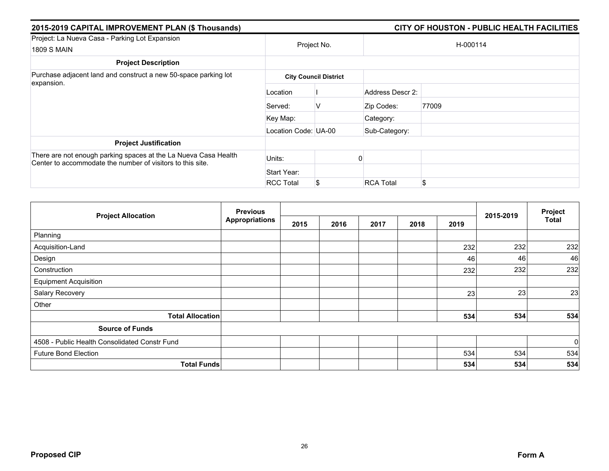| 2015-2019 CAPITAL IMPROVEMENT PLAN (\$ Thousands)                                                                             | CITY OF HOUSTON - PUBLIC HEALTH FACILITIES |                              |                  |       |  |  |  |
|-------------------------------------------------------------------------------------------------------------------------------|--------------------------------------------|------------------------------|------------------|-------|--|--|--|
| Project: La Nueva Casa - Parking Lot Expansion<br>1809 S MAIN                                                                 | Project No.                                |                              | H-000114         |       |  |  |  |
| <b>Project Description</b>                                                                                                    |                                            |                              |                  |       |  |  |  |
| Purchase adjacent land and construct a new 50-space parking lot<br>expansion.                                                 |                                            | <b>City Council District</b> |                  |       |  |  |  |
|                                                                                                                               | Location                                   |                              | Address Descr 2: |       |  |  |  |
|                                                                                                                               | Served:                                    | V                            | Zip Codes:       | 77009 |  |  |  |
|                                                                                                                               | Key Map:                                   |                              | Category:        |       |  |  |  |
|                                                                                                                               | Location Code: UA-00                       |                              | Sub-Category:    |       |  |  |  |
| <b>Project Justification</b>                                                                                                  |                                            |                              |                  |       |  |  |  |
| There are not enough parking spaces at the La Nueva Casa Health<br>Center to accommodate the number of visitors to this site. | Units:                                     |                              |                  |       |  |  |  |
|                                                                                                                               | Start Year:                                |                              |                  |       |  |  |  |
|                                                                                                                               | <b>RCC Total</b>                           | S                            | <b>RCA Total</b> | \$    |  |  |  |

|                                               | <b>Previous</b>       |      |      |      |      |      |           |                         |
|-----------------------------------------------|-----------------------|------|------|------|------|------|-----------|-------------------------|
| <b>Project Allocation</b>                     | <b>Appropriations</b> | 2015 | 2016 | 2017 | 2018 | 2019 | 2015-2019 | Project<br><b>Total</b> |
| Planning                                      |                       |      |      |      |      |      |           |                         |
| Acquisition-Land                              |                       |      |      |      |      | 232  | 232       | 232                     |
| Design                                        |                       |      |      |      |      | 46   | 46        | 46                      |
| Construction                                  |                       |      |      |      |      | 232  | 232       | 232                     |
| <b>Equipment Acquisition</b>                  |                       |      |      |      |      |      |           |                         |
| Salary Recovery                               |                       |      |      |      |      | 23   | 23        | 23                      |
| Other                                         |                       |      |      |      |      |      |           |                         |
| <b>Total Allocation</b>                       |                       |      |      |      |      | 534  | 534       | 534                     |
| <b>Source of Funds</b>                        |                       |      |      |      |      |      |           |                         |
| 4508 - Public Health Consolidated Constr Fund |                       |      |      |      |      |      |           | $\overline{0}$          |
| <b>Future Bond Election</b>                   |                       |      |      |      |      | 534  | 534       | 534                     |
| <b>Total Funds</b>                            |                       |      |      |      |      | 534  | 534       | 534                     |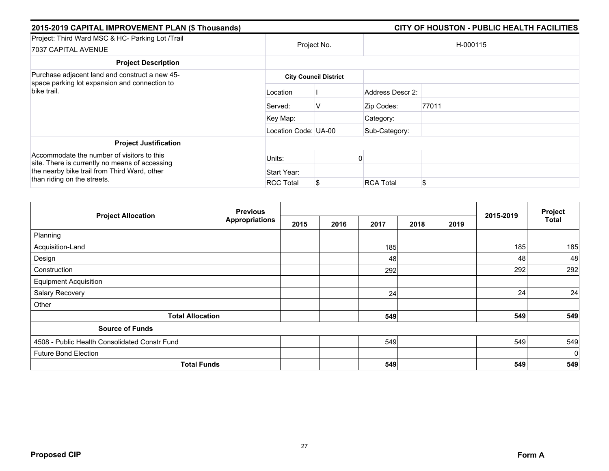| 2015-2019 CAPITAL IMPROVEMENT PLAN (\$ Thousands)                                                                                            |                              | CITY OF HOUSTON - PUBLIC HEALTH FACILITIES |                  |          |  |  |  |
|----------------------------------------------------------------------------------------------------------------------------------------------|------------------------------|--------------------------------------------|------------------|----------|--|--|--|
| Project: Third Ward MSC & HC- Parking Lot /Trail<br>7037 CAPITAL AVENUE                                                                      |                              | Project No.                                |                  | H-000115 |  |  |  |
| <b>Project Description</b>                                                                                                                   |                              |                                            |                  |          |  |  |  |
| Purchase adjacent land and construct a new 45-<br>space parking lot expansion and connection to                                              | <b>City Council District</b> |                                            |                  |          |  |  |  |
| bike trail.                                                                                                                                  | Location                     |                                            | Address Descr 2: |          |  |  |  |
|                                                                                                                                              | Served:                      | v                                          | Zip Codes:       | 77011    |  |  |  |
|                                                                                                                                              | Key Map:                     |                                            | Category:        |          |  |  |  |
|                                                                                                                                              | Location Code: UA-00         |                                            | Sub-Category:    |          |  |  |  |
| <b>Project Justification</b>                                                                                                                 |                              |                                            |                  |          |  |  |  |
| Accommodate the number of visitors to this<br>site. There is currently no means of accessing<br>the nearby bike trail from Third Ward, other | Units:                       |                                            |                  |          |  |  |  |
|                                                                                                                                              | Start Year:                  |                                            |                  |          |  |  |  |
| than riding on the streets.                                                                                                                  | <b>RCC Total</b>             | S                                          | <b>RCA Total</b> | \$       |  |  |  |

|                                               | <b>Previous</b> |      |      | Project |      |      |           |             |
|-----------------------------------------------|-----------------|------|------|---------|------|------|-----------|-------------|
| <b>Project Allocation</b>                     | Appropriations  | 2015 | 2016 | 2017    | 2018 | 2019 | 2015-2019 | Total       |
| Planning                                      |                 |      |      |         |      |      |           |             |
| Acquisition-Land                              |                 |      |      | 185     |      |      | 185       | 185         |
| Design                                        |                 |      |      | 48      |      |      | 48        | 48          |
| Construction                                  |                 |      |      | 292     |      |      | 292       | 292         |
| <b>Equipment Acquisition</b>                  |                 |      |      |         |      |      |           |             |
| Salary Recovery                               |                 |      |      | 24      |      |      | 24        | 24          |
| Other                                         |                 |      |      |         |      |      |           |             |
| <b>Total Allocation</b>                       |                 |      |      | 549     |      |      | 549       | 549         |
| <b>Source of Funds</b>                        |                 |      |      |         |      |      |           |             |
| 4508 - Public Health Consolidated Constr Fund |                 |      |      | 549     |      |      | 549       | 549         |
| <b>Future Bond Election</b>                   |                 |      |      |         |      |      |           | $\mathbf 0$ |
| <b>Total Funds</b>                            |                 |      |      | 549     |      |      | 549       | 549         |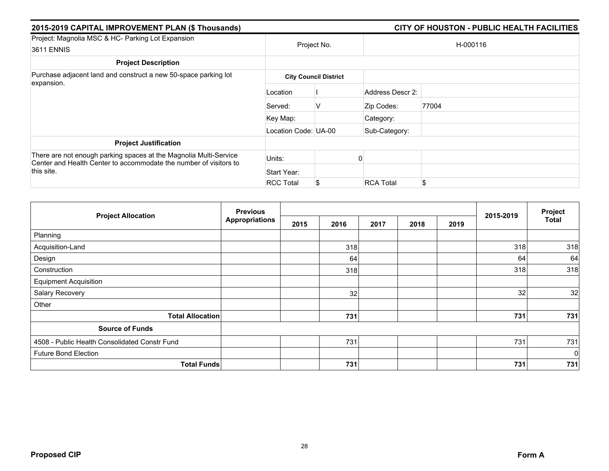| 2015-2019 CAPITAL IMPROVEMENT PLAN (\$ Thousands)                                                                                      |                      |                              |                  | CITY OF HOUSTON - PUBLIC HEALTH FACILITIES |  |  |
|----------------------------------------------------------------------------------------------------------------------------------------|----------------------|------------------------------|------------------|--------------------------------------------|--|--|
| Project: Magnolia MSC & HC- Parking Lot Expansion<br>3611 ENNIS                                                                        | Project No.          |                              |                  | H-000116                                   |  |  |
| <b>Project Description</b>                                                                                                             |                      |                              |                  |                                            |  |  |
| Purchase adjacent land and construct a new 50-space parking lot                                                                        |                      | <b>City Council District</b> |                  |                                            |  |  |
| expansion.                                                                                                                             | Location             |                              | Address Descr 2: |                                            |  |  |
|                                                                                                                                        | Served:              | V                            | Zip Codes:       | 77004                                      |  |  |
|                                                                                                                                        | Key Map:             |                              | Category:        |                                            |  |  |
|                                                                                                                                        | Location Code: UA-00 |                              | Sub-Category:    |                                            |  |  |
| <b>Project Justification</b>                                                                                                           |                      |                              |                  |                                            |  |  |
| There are not enough parking spaces at the Magnolia Multi-Service<br>Center and Health Center to accommodate the number of visitors to | Units:               |                              |                  |                                            |  |  |
| this site.                                                                                                                             | Start Year:          |                              |                  |                                            |  |  |
|                                                                                                                                        | <b>RCC Total</b>     | \$                           | <b>RCA Total</b> | \$.                                        |  |  |

| <b>Project Allocation</b>                     | <b>Previous</b>       |      |      | 2015-2019 | Project |      |     |             |
|-----------------------------------------------|-----------------------|------|------|-----------|---------|------|-----|-------------|
|                                               | <b>Appropriations</b> | 2015 | 2016 | 2017      | 2018    | 2019 |     | Total       |
| Planning                                      |                       |      |      |           |         |      |     |             |
| Acquisition-Land                              |                       |      | 318  |           |         |      | 318 | 318         |
| Design                                        |                       |      | 64   |           |         |      | 64  | 64          |
| Construction                                  |                       |      | 318  |           |         |      | 318 | 318         |
| <b>Equipment Acquisition</b>                  |                       |      |      |           |         |      |     |             |
| Salary Recovery                               |                       |      | 32   |           |         |      | 32  | 32          |
| Other                                         |                       |      |      |           |         |      |     |             |
| <b>Total Allocation</b>                       |                       |      | 731  |           |         |      | 731 | 731         |
| <b>Source of Funds</b>                        |                       |      |      |           |         |      |     |             |
| 4508 - Public Health Consolidated Constr Fund |                       |      | 731  |           |         |      | 731 | 731         |
| <b>Future Bond Election</b>                   |                       |      |      |           |         |      |     | $\mathbf 0$ |
| <b>Total Funds</b>                            |                       |      | 731  |           |         |      | 731 | 731         |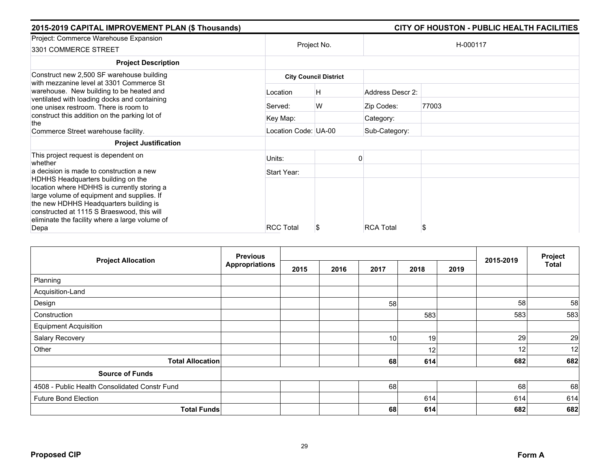| 2015-2019 CAPITAL IMPROVEMENT PLAN (\$ Thousands)                                     |                      |                              |                  | CITY OF HOUSTON - PUBLIC HEALTH FACILITIES |  |
|---------------------------------------------------------------------------------------|----------------------|------------------------------|------------------|--------------------------------------------|--|
| Project: Commerce Warehouse Expansion                                                 | Project No.          |                              | H-000117         |                                            |  |
| 3301 COMMERCE STREET                                                                  |                      |                              |                  |                                            |  |
| <b>Project Description</b>                                                            |                      |                              |                  |                                            |  |
| Construct new 2,500 SF warehouse building<br>with mezzanine level at 3301 Commerce St |                      | <b>City Council District</b> |                  |                                            |  |
| warehouse. New building to be heated and                                              | Location             | H                            | Address Descr 2: |                                            |  |
| ventilated with loading docks and containing<br>one unisex restroom. There is room to | Served:              | W                            | Zip Codes:       | 77003                                      |  |
| construct this addition on the parking lot of<br>the                                  | Key Map:             |                              | Category:        |                                            |  |
| Commerce Street warehouse facility.                                                   | Location Code: UA-00 |                              | Sub-Category:    |                                            |  |
| <b>Project Justification</b>                                                          |                      |                              |                  |                                            |  |
| This project request is dependent on<br>whether                                       | Units:               |                              |                  |                                            |  |
| a decision is made to construction a new                                              | Start Year:          |                              |                  |                                            |  |
| HDHHS Headquarters building on the<br>location where HDHHS is currently storing a     |                      |                              |                  |                                            |  |
| large volume of equipment and supplies. If                                            |                      |                              |                  |                                            |  |
| the new HDHHS Headquarters building is<br>constructed at 1115 S Braeswood, this will  |                      |                              |                  |                                            |  |
| eliminate the facility where a large volume of                                        |                      |                              |                  |                                            |  |
| Depa                                                                                  | <b>RCC Total</b>     | ж                            | <b>RCA Total</b> | S                                          |  |

|                                               | <b>Previous</b>       |      |      |      |              |           | Project<br><b>Total</b> |     |
|-----------------------------------------------|-----------------------|------|------|------|--------------|-----------|-------------------------|-----|
| <b>Project Allocation</b>                     | <b>Appropriations</b> | 2015 | 2016 | 2017 | 2018<br>2019 | 2015-2019 |                         |     |
| Planning                                      |                       |      |      |      |              |           |                         |     |
| Acquisition-Land                              |                       |      |      |      |              |           |                         |     |
| Design                                        |                       |      |      | 58   |              |           | 58                      | 58  |
| Construction                                  |                       |      |      |      | 583          |           | 583                     | 583 |
| <b>Equipment Acquisition</b>                  |                       |      |      |      |              |           |                         |     |
| Salary Recovery                               |                       |      |      | 10   | 19           |           | 29                      | 29  |
| Other                                         |                       |      |      |      | 12           |           | 12 <sub>1</sub>         | 12  |
| <b>Total Allocation</b>                       |                       |      |      | 68   | 614          |           | 682                     | 682 |
| <b>Source of Funds</b>                        |                       |      |      |      |              |           |                         |     |
| 4508 - Public Health Consolidated Constr Fund |                       |      |      | 68   |              |           | 68                      | 68  |
| <b>Future Bond Election</b>                   |                       |      |      |      | 614          |           | 614                     | 614 |
| <b>Total Funds</b>                            |                       |      |      | 68   | 614          |           | 682                     | 682 |